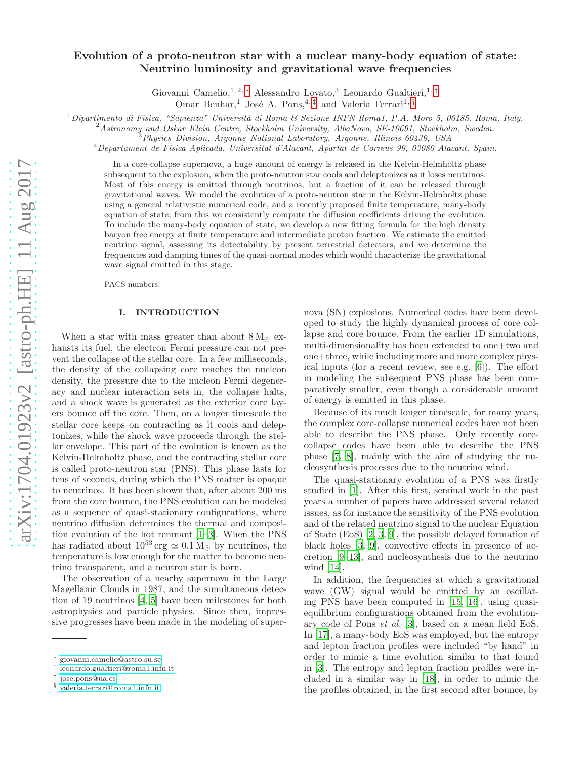# Evolution of a proto-neutron star with a nuclear many-body equation of state: Neutrino luminosity and gravitational wave frequencies

Giovanni Camelio, <sup>1, 2, [∗](#page-0-0)</sup> Alessandro Lovato,<sup>3</sup> Leonardo Gualtieri, <sup>1,[†](#page-0-1)</sup>

Omar Benhar,<sup>1</sup> José A. Pons,<sup>4, [‡](#page-0-2)</sup> and Valeria Ferrari<sup>1, [§](#page-0-3)</sup>

<sup>1</sup>*Dipartimento di Fisica, "Sapienza" Universit`a di Roma & Sezione INFN Roma1, P.A. Moro 5, 00185, Roma, Italy.*

<sup>2</sup>*Astronomy and Oskar Klein Centre, Stockholm University, AlbaNova, SE-10691, Stockholm, Sweden.*

<sup>3</sup>*Physics Division, Argonne National Laboratory, Argonne, Illinois 60439, USA*

<sup>4</sup>*Departament de F´ısica Aplicada, Universitat d'Alacant, Apartat de Correus 99, 03080 Alacant, Spain.*

In a core-collapse supernova, a huge amount of energy is released in the Kelvin-Helmholtz phase subsequent to the explosion, when the proto-neutron star cools and deleptonizes as it loses neutrinos. Most of this energy is emitted through neutrinos, but a fraction of it can be released through gravitational waves. We model the evolution of a proto-neutron star in the Kelvin-Helmholtz phase using a general relativistic numerical code, and a recently proposed finite temperature, many-body equation of state; from this we consistently compute the diffusion coefficients driving the evolution. To include the many-body equation of state, we develop a new fitting formula for the high density baryon free energy at finite temperature and intermediate proton fraction. We estimate the emitted neutrino signal, assessing its detectability by present terrestrial detectors, and we determine the frequencies and damping times of the quasi-normal modes which would characterize the gravitational wave signal emitted in this stage.

PACS numbers:

## I. INTRODUCTION

When a star with mass greater than about  $8\,\rm M_\odot$  exhausts its fuel, the electron Fermi pressure can not prevent the collapse of the stellar core. In a few milliseconds, the density of the collapsing core reaches the nucleon density, the pressure due to the nucleon Fermi degeneracy and nuclear interaction sets in, the collapse halts, and a shock wave is generated as the exterior core layers bounce off the core. Then, on a longer timescale the stellar core keeps on contracting as it cools and deleptonizes, while the shock wave proceeds through the stellar envelope. This part of the evolution is known as the Kelvin-Helmholtz phase, and the contracting stellar core is called proto-neutron star (PNS). This phase lasts for tens of seconds, during which the PNS matter is opaque to neutrinos. It has been shown that, after about 200 ms from the core bounce, the PNS evolution can be modeled as a sequence of quasi-stationary configurations, where neutrino diffusion determines the thermal and composition evolution of the hot remnant [\[1](#page-21-0)[–3](#page-21-1)]. When the PNS has radiated about  $10^{53} \text{ erg } \approx 0.1 \text{ M}_{\odot}$  by neutrinos, the temperature is low enough for the matter to become neutrino transparent, and a neutron star is born.

The observation of a nearby supernova in the Large Magellanic Clouds in 1987, and the simultaneous detection of 19 neutrinos [\[4](#page-21-2), [5](#page-21-3)] have been milestones for both astrophysics and particle physics. Since then, impressive progresses have been made in the modeling of supernova (SN) explosions. Numerical codes have been developed to study the highly dynamical process of core collapse and core bounce. From the earlier 1D simulations, multi-dimensionality has been extended to one+two and one+three, while including more and more complex physical inputs (for a recent review, see e.g. [\[6\]](#page-21-4)). The effort in modeling the subsequent PNS phase has been comparatively smaller, even though a considerable amount of energy is emitted in this phase.

Because of its much longer timescale, for many years, the complex core-collapse numerical codes have not been able to describe the PNS phase. Only recently corecollapse codes have been able to describe the PNS phase [\[7,](#page-21-5) [8](#page-21-6)], mainly with the aim of studying the nucleosynthesis processes due to the neutrino wind.

The quasi-stationary evolution of a PNS was firstly studied in [\[1\]](#page-21-0). After this first, seminal work in the past years a number of papers have addressed several related issues, as for instance the sensitivity of the PNS evolution and of the related neutrino signal to the nuclear Equation of State (EoS) [\[2,](#page-21-7) [3](#page-21-1), [9\]](#page-21-8), the possible delayed formation of black holes [\[3](#page-21-1), [9\]](#page-21-8), convective effects in presence of accretion [\[9](#page-21-8)[–13\]](#page-21-9), and nucleosynthesis due to the neutrino wind [\[14](#page-21-10)].

In addition, the frequencies at which a gravitational wave (GW) signal would be emitted by an oscillating PNS have been computed in [\[15](#page-21-11), [16\]](#page-21-12), using quasiequilibrium configurations obtained from the evolutionary code of Pons et al. [\[3\]](#page-21-1), based on a mean field EoS. In [\[17\]](#page-21-13), a many-body EoS was employed, but the entropy and lepton fraction profiles were included "by hand" in order to mimic a time evolution similar to that found in [\[3\]](#page-21-1). The entropy and lepton fraction profiles were included in a similar way in [\[18](#page-21-14)], in order to mimic the the profiles obtained, in the first second after bounce, by

<span id="page-0-0"></span><sup>∗</sup> [giovanni.camelio@astro.su.se](mailto:giovanni.camelio@astro.su.se)

<span id="page-0-1"></span><sup>†</sup> [leonardo.gualtieri@roma1.infn.it](mailto:leonardo.gualtieri@roma1.infn.it)

<span id="page-0-2"></span><sup>‡</sup> [jose.pons@ua.es](mailto:jose.pons@ua.es)

<span id="page-0-3"></span><sup>§</sup> [valeria.ferrari@roma1.infn.it](mailto:valeria.ferrari@roma1.infn.it)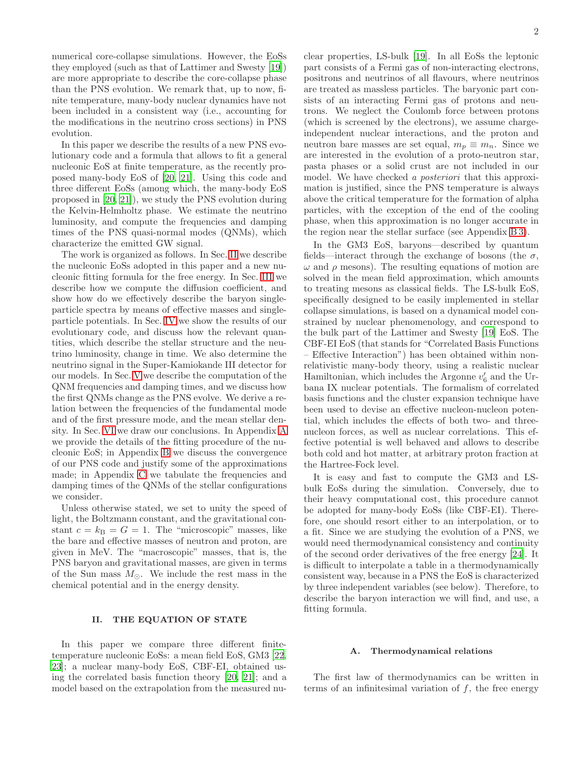numerical core-collapse simulations. However, the EoSs they employed (such as that of Lattimer and Swesty [\[19\]](#page-21-15)) are more appropriate to describe the core-collapse phase than the PNS evolution. We remark that, up to now, finite temperature, many-body nuclear dynamics have not been included in a consistent way (i.e., accounting for the modifications in the neutrino cross sections) in PNS evolution.

In this paper we describe the results of a new PNS evolutionary code and a formula that allows to fit a general nucleonic EoS at finite temperature, as the recently proposed many-body EoS of [\[20,](#page-21-16) [21\]](#page-21-17). Using this code and three different EoSs (among which, the many-body EoS proposed in [\[20,](#page-21-16) [21](#page-21-17)]), we study the PNS evolution during the Kelvin-Helmholtz phase. We estimate the neutrino luminosity, and compute the frequencies and damping times of the PNS quasi-normal modes (QNMs), which characterize the emitted GW signal.

The work is organized as follows. In Sec. [II](#page-1-0) we describe the nucleonic EoSs adopted in this paper and a new nucleonic fitting formula for the free energy. In Sec. [III](#page-5-0) we describe how we compute the diffusion coefficient, and show how do we effectively describe the baryon singleparticle spectra by means of effective masses and singleparticle potentials. In Sec. [IV](#page-7-0) we show the results of our evolutionary code, and discuss how the relevant quantities, which describe the stellar structure and the neutrino luminosity, change in time. We also determine the neutrino signal in the Super-Kamiokande III detector for our models. In Sec. [V](#page-14-0) we describe the computation of the QNM frequencies and damping times, and we discuss how the first QNMs change as the PNS evolve. We derive a relation between the frequencies of the fundamental mode and of the first pressure mode, and the mean stellar density. In Sec. [VI](#page-16-0) we draw our conclusions. In Appendix [A](#page-18-0) we provide the details of the fitting procedure of the nucleonic EoS; in Appendix [B](#page-18-1) we discuss the convergence of our PNS code and justify some of the approximations made; in Appendix [C](#page-21-18) we tabulate the frequencies and damping times of the QNMs of the stellar configurations we consider.

Unless otherwise stated, we set to unity the speed of light, the Boltzmann constant, and the gravitational constant  $c = k_B = G = 1$ . The "microscopic" masses, like the bare and effective masses of neutron and proton, are given in MeV. The "macroscopic" masses, that is, the PNS baryon and gravitational masses, are given in terms of the Sun mass  $M_{\odot}$ . We include the rest mass in the chemical potential and in the energy density.

## <span id="page-1-0"></span>II. THE EQUATION OF STATE

In this paper we compare three different finitetemperature nucleonic EoSs: a mean field EoS, GM3 [\[22](#page-21-19), [23\]](#page-21-20); a nuclear many-body EoS, CBF-EI, obtained using the correlated basis function theory [\[20,](#page-21-16) [21\]](#page-21-17); and a model based on the extrapolation from the measured nuclear properties, LS-bulk [\[19\]](#page-21-15). In all EoSs the leptonic part consists of a Fermi gas of non-interacting electrons, positrons and neutrinos of all flavours, where neutrinos are treated as massless particles. The baryonic part consists of an interacting Fermi gas of protons and neutrons. We neglect the Coulomb force between protons (which is screened by the electrons), we assume chargeindependent nuclear interactions, and the proton and neutron bare masses are set equal,  $m_p \equiv m_n$ . Since we are interested in the evolution of a proto-neutron star, pasta phases or a solid crust are not included in our model. We have checked a posteriori that this approximation is justified, since the PNS temperature is always above the critical temperature for the formation of alpha particles, with the exception of the end of the cooling phase, when this approximation is no longer accurate in the region near the stellar surface (see Appendix [B 3\)](#page-20-0).

In the GM3 EoS, baryons—described by quantum fields—interact through the exchange of bosons (the  $\sigma$ ,  $\omega$  and  $\rho$  mesons). The resulting equations of motion are solved in the mean field approximation, which amounts to treating mesons as classical fields. The LS-bulk EoS, specifically designed to be easily implemented in stellar collapse simulations, is based on a dynamical model constrained by nuclear phenomenology, and correspond to the bulk part of the Lattimer and Swesty [\[19](#page-21-15)] EoS. The CBF-EI EoS (that stands for "Correlated Basis Functions – Effective Interaction") has been obtained within nonrelativistic many-body theory, using a realistic nuclear Hamiltonian, which includes the Argonne  $v'_6$  and the Urbana IX nuclear potentials. The formalism of correlated basis functions and the cluster expansion technique have been used to devise an effective nucleon-nucleon potential, which includes the effects of both two- and threenucleon forces, as well as nuclear correlations. This effective potential is well behaved and allows to describe both cold and hot matter, at arbitrary proton fraction at the Hartree-Fock level.

It is easy and fast to compute the GM3 and LSbulk EoSs during the simulation. Conversely, due to their heavy computational cost, this procedure cannot be adopted for many-body EoSs (like CBF-EI). Therefore, one should resort either to an interpolation, or to a fit. Since we are studying the evolution of a PNS, we would need thermodynamical consistency and continuity of the second order derivatives of the free energy [\[24\]](#page-22-0). It is difficult to interpolate a table in a thermodynamically consistent way, because in a PNS the EoS is characterized by three independent variables (see below). Therefore, to describe the baryon interaction we will find, and use, a fitting formula.

#### A. Thermodynamical relations

The first law of thermodynamics can be written in terms of an infinitesimal variation of  $f$ , the free energy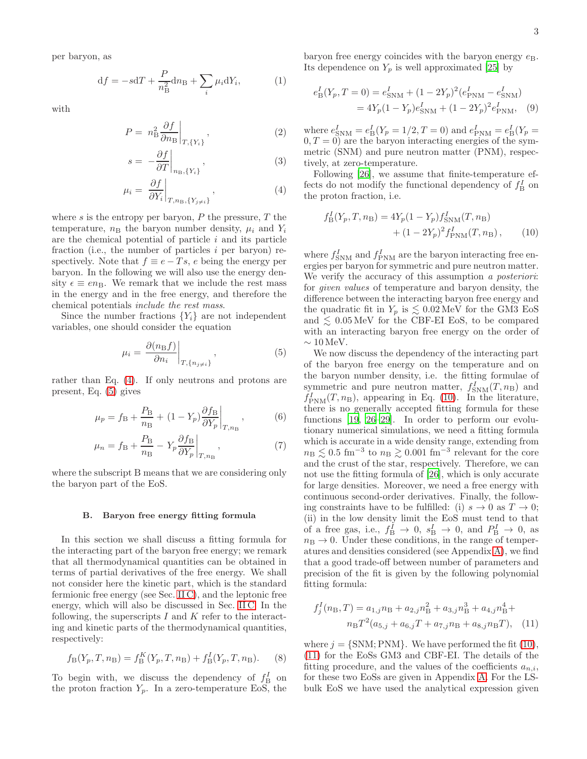per baryon, as

$$
df = -sdT + \frac{P}{n_{\rm B}^2}dn_{\rm B} + \sum_{i} \mu_i dY_i, \qquad (1)
$$

with

$$
P = n_{\rm B}^2 \frac{\partial f}{\partial n_{\rm B}}\bigg|_{T,\{Y_i\}},\tag{2}
$$

$$
s = -\frac{\partial f}{\partial T}\Big|_{n_{\rm B}, \{Y_i\}}, \tag{3}
$$

$$
\mu_i = \left. \frac{\partial f}{\partial Y_i} \right|_{T, n_{\text{B}}, \{Y_{j \neq i}\}}, \tag{4}
$$

where  $s$  is the entropy per baryon,  $P$  the pressure,  $T$  the temperature,  $n_B$  the baryon number density,  $\mu_i$  and  $Y_i$ are the chemical potential of particle  $i$  and its particle fraction (i.e., the number of particles  $i$  per baryon) respectively. Note that  $f \equiv e - Ts$ , e being the energy per baryon. In the following we will also use the energy density  $\epsilon \equiv en_B$ . We remark that we include the rest mass in the energy and in the free energy, and therefore the chemical potentials include the rest mass.

Since the number fractions  ${Y_i}$  are not independent variables, one should consider the equation

<span id="page-2-1"></span>
$$
\mu_i = \left. \frac{\partial (n_\text{B} f)}{\partial n_i} \right|_{T, \{n_{j \neq i}\}}, \tag{5}
$$

rather than Eq. [\(4\)](#page-2-0). If only neutrons and protons are present, Eq. [\(5\)](#page-2-1) gives

$$
\mu_p = f_B + \frac{P_B}{n_B} + (1 - Y_p) \frac{\partial f_B}{\partial Y_p} \bigg|_{T, n_B},
$$
\n(6)

$$
\mu_n = f_B + \frac{P_B}{n_B} - Y_p \frac{\partial f_B}{\partial Y_p} \bigg|_{T, n_B},\tag{7}
$$

where the subscript B means that we are considering only the baryon part of the EoS.

### <span id="page-2-4"></span>B. Baryon free energy fitting formula

In this section we shall discuss a fitting formula for the interacting part of the baryon free energy; we remark that all thermodynamical quantities can be obtained in terms of partial derivatives of the free energy. We shall not consider here the kinetic part, which is the standard fermionic free energy (see Sec. [II C\)](#page-3-0), and the leptonic free energy, which will also be discussed in Sec. [II C.](#page-3-0) In the following, the superscripts  $I$  and  $K$  refer to the interacting and kinetic parts of the thermodynamical quantities, respectively:

$$
f_{\rm B}(Y_p, T, n_{\rm B}) = f_{\rm B}^K(Y_p, T, n_{\rm B}) + f_{\rm B}^I(Y_p, T, n_{\rm B}).
$$
 (8)

To begin with, we discuss the dependency of  $f_B^I$  on the proton fraction  $Y_p$ . In a zero-temperature EoS, the baryon free energy coincides with the baryon energy  $e_{\text{B}}$ . Its dependence on  $Y_p$  is well approximated [\[25\]](#page-22-1) by

$$
e_{\rm B}^I(Y_p, T=0) = e_{\rm SNM}^I + (1 - 2Y_p)^2 (e_{\rm PNM}^I - e_{\rm SNM}^I)
$$
  
= 
$$
4Y_p(1 - Y_p)e_{\rm SNM}^I + (1 - 2Y_p)^2 e_{\rm PNM}^I, \quad (9)
$$

where  $e_{\text{SNM}}^I = e_{\text{B}}^I(Y_p = 1/2, T = 0)$  and  $e_{\text{PNM}}^I = e_{\text{B}}^I(Y_p = 1/2, T = 0)$  $0, T = 0$  are the baryon interacting energies of the symmetric (SNM) and pure neutron matter (PNM), respectively, at zero-temperature.

<span id="page-2-0"></span>Following [\[26](#page-22-2)], we assume that finite-temperature effects do not modify the functional dependency of  $f_B^I$  on the proton fraction, i.e.

<span id="page-2-2"></span>
$$
f_{\rm B}^{I}(Y_p, T, n_{\rm B}) = 4Y_p(1 - Y_p)f_{\rm SNM}^{I}(T, n_{\rm B}) + (1 - 2Y_p)^2 f_{\rm PNM}^{I}(T, n_{\rm B}), \qquad (10)
$$

where  $f_{\text{SNM}}^I$  and  $f_{\text{PNM}}^I$  are the baryon interacting free energies per baryon for symmetric and pure neutron matter. We verify the accuracy of this assumption a *posteriori*: for given values of temperature and baryon density, the difference between the interacting baryon free energy and the quadratic fit in  $Y_p$  is  $\leq 0.02 \,\text{MeV}$  for the GM3 EoS and  $\leq 0.05 \,\text{MeV}$  for the CBF-EI EoS, to be compared with an interacting baryon free energy on the order of  $\sim 10 \,\text{MeV}.$ 

We now discuss the dependency of the interacting part of the baryon free energy on the temperature and on the baryon number density, i.e. the fitting formulae of symmetric and pure neutron matter,  $f_{\text{SNM}}^I(T, n_{\text{B}})$  and  $f_{\text{PNM}}^I(T, n_{\text{B}})$ , appearing in Eq. [\(10\)](#page-2-2). In the literature, there is no generally accepted fitting formula for these functions [\[19](#page-21-15), [26](#page-22-2)[–29\]](#page-22-3). In order to perform our evolutionary numerical simulations, we need a fitting formula which is accurate in a wide density range, extending from  $n_{\rm B} \lesssim 0.5 \text{ fm}^{-3}$  to  $n_{\rm B} \gtrsim 0.001 \text{ fm}^{-3}$  relevant for the core and the crust of the star, respectively. Therefore, we can not use the fitting formula of [\[26\]](#page-22-2), which is only accurate for large densities. Moreover, we need a free energy with continuous second-order derivatives. Finally, the following constraints have to be fulfilled: (i)  $s \to 0$  as  $T \to 0$ ; (ii) in the low density limit the EoS must tend to that of a free gas, i.e.,  $f_B^I \rightarrow 0$ ,  $s_B^I \rightarrow 0$ , and  $P_B^I \rightarrow 0$ , as  $n_{\rm B} \rightarrow 0$ . Under these conditions, in the range of temperatures and densities considered (see Appendix [A\)](#page-18-0), we find that a good trade-off between number of parameters and precision of the fit is given by the following polynomial fitting formula:

<span id="page-2-3"></span>
$$
f_j^I(n_B, T) = a_{1,j}n_B + a_{2,j}n_B^2 + a_{3,j}n_B^3 + a_{4,j}n_B^4 +
$$
  

$$
n_B T^2(a_{5,j} + a_{6,j}T + a_{7,j}n_B + a_{8,j}n_BT),
$$
 (11)

where  $j = \{SNM; PNM\}$ . We have performed the fit [\(10\)](#page-2-2), [\(11\)](#page-2-3) for the EoSs GM3 and CBF-EI. The details of the fitting procedure, and the values of the coefficients  $a_{n,i}$ , for these two EoSs are given in Appendix [A.](#page-18-0) For the LSbulk EoS we have used the analytical expression given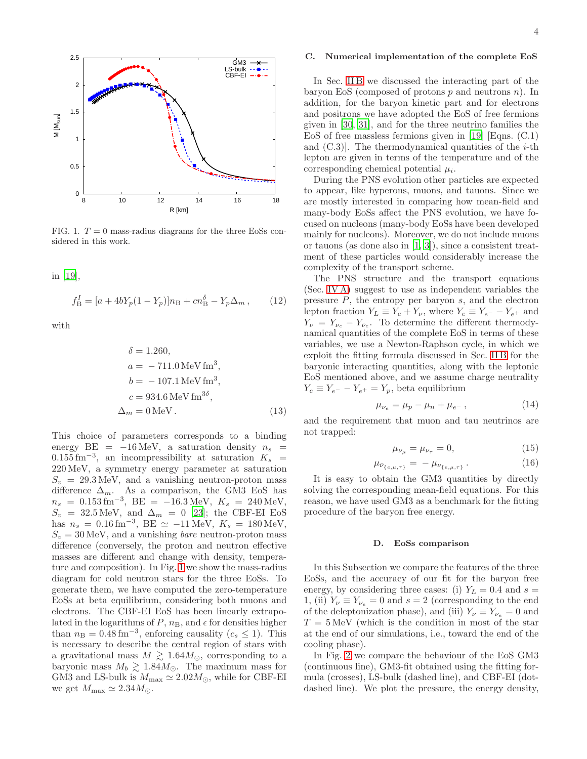

<span id="page-3-1"></span>FIG. 1.  $T = 0$  mass-radius diagrams for the three EoSs considered in this work.

in [\[19](#page-21-15)],

$$
f_{\rm B}^I = [a + 4bY_p(1 - Y_p)]n_{\rm B} + cn_{\rm B}^{\delta} - Y_p \Delta_m , \qquad (12)
$$

with

$$
\delta = 1.260,
$$
  
\n
$$
a = -711.0 \,\text{MeV fm}^3,
$$
  
\n
$$
b = -107.1 \,\text{MeV fm}^3,
$$
  
\n
$$
c = 934.6 \,\text{MeV fm}^{3\delta},
$$
  
\n
$$
\Delta_m = 0 \,\text{MeV}.
$$
 (13)

This choice of parameters corresponds to a binding energy BE =  $-16 \text{ MeV}$ , a saturation density  $n_s$  =  $0.155 \,\mathrm{fm}^{-3}$ , an incompressibility at saturation  $K_s$  = 220 MeV, a symmetry energy parameter at saturation  $S_v = 29.3 \,\text{MeV}$ , and a vanishing neutron-proton mass difference  $\Delta_m$ . As a comparison, the GM3 EoS has  $n_s = 0.153 \,\text{fm}^{-3}$ ,  $BE = -16.3 \,\text{MeV}$ ,  $K_s = 240 \,\text{MeV}$ ,  $S_v = 32.5 \,\text{MeV}$ , and  $\Delta_m = 0$  [\[23\]](#page-21-20); the CBF-EI EoS has  $n_s = 0.16 \,\text{fm}^{-3}$ ,  $BE \simeq -11 \,\text{MeV}$ ,  $K_s = 180 \,\text{MeV}$ ,  $S_v = 30 \,\text{MeV}$ , and a vanishing *bare* neutron-proton mass difference (conversely, the proton and neutron effective masses are different and change with density, temperature and composition). In Fig. [1](#page-3-1) we show the mass-radius diagram for cold neutron stars for the three EoSs. To generate them, we have computed the zero-temperature EoSs at beta equilibrium, considering both muons and electrons. The CBF-EI EoS has been linearly extrapolated in the logarithms of  $P$ ,  $n<sub>B</sub>$ , and  $\epsilon$  for densities higher than  $n_B = 0.48 \,\mathrm{fm}^{-3}$ , enforcing causality  $(c_s \leq 1)$ . This is necessary to describe the central region of stars with a gravitational mass  $M \gtrsim 1.64 M_{\odot}$ , corresponding to a baryonic mass  $M_b \gtrsim 1.84 M_{\odot}$ . The maximum mass for GM3 and LS-bulk is  $M_{\text{max}} \simeq 2.02 M_{\odot}$ , while for CBF-EI we get  $M_{\text{max}} \simeq 2.34 M_{\odot}$ .

## <span id="page-3-0"></span>C. Numerical implementation of the complete EoS

In Sec. [II B](#page-2-4) we discussed the interacting part of the baryon EoS (composed of protons  $p$  and neutrons  $n$ ). In addition, for the baryon kinetic part and for electrons and positrons we have adopted the EoS of free fermions given in [\[30,](#page-22-4) [31](#page-22-5)], and for the three neutrino families the EoS of free massless fermions given in [\[19\]](#page-21-15) [Eqns. (C.1) and  $(C.3)$ . The thermodynamical quantities of the *i*-th lepton are given in terms of the temperature and of the corresponding chemical potential  $\mu_i$ .

During the PNS evolution other particles are expected to appear, like hyperons, muons, and tauons. Since we are mostly interested in comparing how mean-field and many-body EoSs affect the PNS evolution, we have focused on nucleons (many-body EoSs have been developed mainly for nucleons). Moreover, we do not include muons or tauons (as done also in [\[1,](#page-21-0) [3\]](#page-21-1)), since a consistent treatment of these particles would considerably increase the complexity of the transport scheme.

The PNS structure and the transport equations (Sec. [IV A\)](#page-7-1) suggest to use as independent variables the pressure  $P$ , the entropy per baryon  $s$ , and the electron lepton fraction  $Y_L \equiv Y_e + Y_\nu$ , where  $Y_e \equiv Y_{e^-} - Y_{e^+}$  and  $Y_{\nu} = Y_{\nu_e} - Y_{\bar{\nu}_e}$ . To determine the different thermodynamical quantities of the complete EoS in terms of these variables, we use a Newton-Raphson cycle, in which we exploit the fitting formula discussed in Sec. [II B](#page-2-4) for the baryonic interacting quantities, along with the leptonic EoS mentioned above, and we assume charge neutrality  $Y_e \equiv Y_{e^-} - Y_{e^+} = Y_p$ , beta equilibrium

<span id="page-3-3"></span>
$$
\mu_{\nu_e} = \mu_p - \mu_n + \mu_{e^-}, \qquad (14)
$$

and the requirement that muon and tau neutrinos are not trapped:

$$
\mu_{\nu_{\mu}} = \mu_{\nu_{\tau}} = 0, \tag{15}
$$

$$
\mu_{\bar{\nu}_{\{e,\mu,\tau\}}} = -\mu_{\nu_{\{e,\mu,\tau\}}} \,.
$$
\n(16)

It is easy to obtain the GM3 quantities by directly solving the corresponding mean-field equations. For this reason, we have used GM3 as a benchmark for the fitting procedure of the baryon free energy.

## <span id="page-3-2"></span>D. EoSs comparison

In this Subsection we compare the features of the three EoSs, and the accuracy of our fit for the baryon free energy, by considering three cases: (i)  $Y_L = 0.4$  and  $s =$ 1, (ii)  $Y_{\nu} \equiv Y_{\nu_e} = 0$  and  $s = 2$  (corresponding to the end of the deleptonization phase), and (iii)  $Y_{\nu} \equiv Y_{\nu_e} = 0$  and  $T = 5 \,\text{MeV}$  (which is the condition in most of the star at the end of our simulations, i.e., toward the end of the cooling phase).

In Fig. [2](#page-4-0) we compare the behaviour of the EoS GM3 (continuous line), GM3-fit obtained using the fitting formula (crosses), LS-bulk (dashed line), and CBF-EI (dotdashed line). We plot the pressure, the energy density,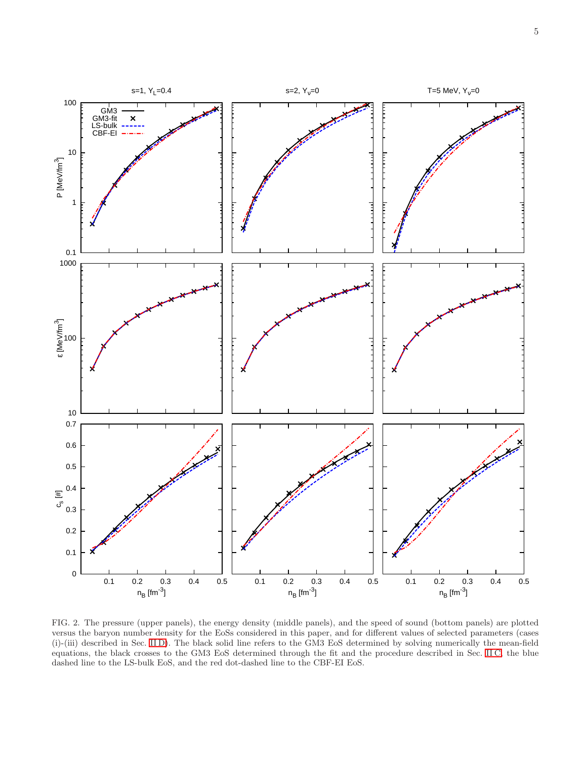

<span id="page-4-0"></span>FIG. 2. The pressure (upper panels), the energy density (middle panels), and the speed of sound (bottom panels) are plotted versus the baryon number density for the EoSs considered in this paper, and for different values of selected parameters (cases (i)-(iii) described in Sec. [II D\)](#page-3-2). The black solid line refers to the GM3 EoS determined by solving numerically the mean-field equations, the black crosses to the GM3 EoS determined through the fit and the procedure described in Sec. [II C,](#page-3-0) the blue dashed line to the LS-bulk EoS, and the red dot-dashed line to the CBF-EI EoS.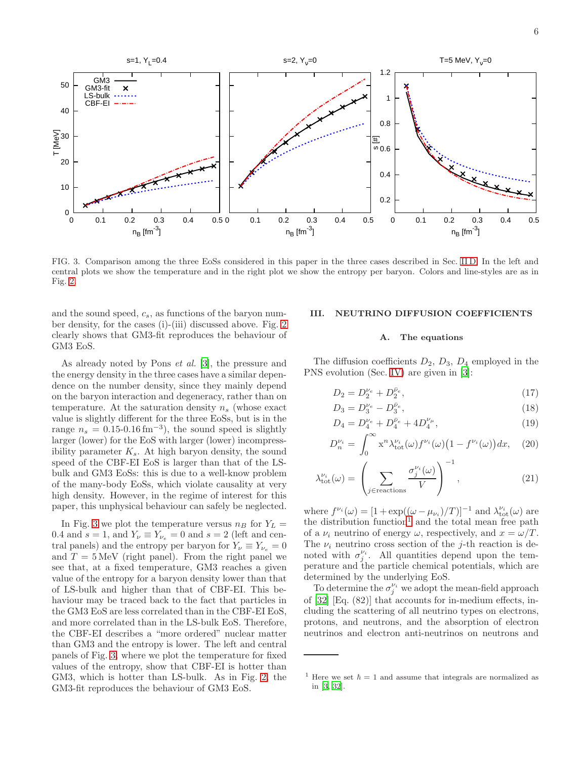

<span id="page-5-1"></span>FIG. 3. Comparison among the three EoSs considered in this paper in the three cases described in Sec. [II D.](#page-3-2) In the left and central plots we show the temperature and in the right plot we show the entropy per baryon. Colors and line-styles are as in Fig. [2.](#page-4-0)

and the sound speed,  $c_s$ , as functions of the baryon number density, for the cases (i)-(iii) discussed above. Fig. [2](#page-4-0) clearly shows that GM3-fit reproduces the behaviour of GM3 EoS.

As already noted by Pons et al. [\[3](#page-21-1)], the pressure and the energy density in the three cases have a similar dependence on the number density, since they mainly depend on the baryon interaction and degeneracy, rather than on temperature. At the saturation density  $n_s$  (whose exact value is slightly different for the three EoSs, but is in the range  $n_s = 0.15$ -0.16 fm<sup>-3</sup>), the sound speed is slightly larger (lower) for the EoS with larger (lower) incompressibility parameter  $K_s$ . At high baryon density, the sound speed of the CBF-EI EoS is larger than that of the LSbulk and GM3 EoSs: this is due to a well-know problem of the many-body EoSs, which violate causality at very high density. However, in the regime of interest for this paper, this unphysical behaviour can safely be neglected.

In Fig. [3](#page-5-1) we plot the temperature versus  $n_B$  for  $Y_L$  = 0.4 and  $s = 1$ , and  $Y_{\nu} \equiv Y_{\nu_e} = 0$  and  $s = 2$  (left and central panels) and the entropy per baryon for  $Y_{\nu} \equiv Y_{\nu_e} = 0$ and  $T = 5 \,\text{MeV}$  (right panel). From the right panel we see that, at a fixed temperature, GM3 reaches a given value of the entropy for a baryon density lower than that of LS-bulk and higher than that of CBF-EI. This behaviour may be traced back to the fact that particles in the GM3 EoS are less correlated than in the CBF-EI EoS, and more correlated than in the LS-bulk EoS. Therefore, the CBF-EI describes a "more ordered" nuclear matter than GM3 and the entropy is lower. The left and central panels of Fig. [3,](#page-5-1) where we plot the temperature for fixed values of the entropy, show that CBF-EI is hotter than GM3, which is hotter than LS-bulk. As in Fig. [2,](#page-4-0) the GM3-fit reproduces the behaviour of GM3 EoS.

### <span id="page-5-0"></span>III. NEUTRINO DIFFUSION COEFFICIENTS

## <span id="page-5-7"></span><span id="page-5-6"></span><span id="page-5-5"></span><span id="page-5-4"></span>A. The equations

The diffusion coefficients  $D_2$ ,  $D_3$ ,  $D_4$  employed in the PNS evolution (Sec. [IV\)](#page-7-0) are given in [\[3\]](#page-21-1):

$$
D_2 = D_2^{\nu_e} + D_2^{\bar{\nu}_e},\tag{17}
$$

$$
D_3 = D_3^{\nu_e} - D_3^{\bar{\nu}_e},\tag{18}
$$

<span id="page-5-3"></span>
$$
D_4 = D_4^{\nu_e} + D_4^{\bar{\nu}_e} + 4D_4^{\nu_\mu},\tag{19}
$$

$$
D_n^{\nu_i} = \int_0^\infty x^n \lambda_{\text{tot}}^{\nu_i}(\omega) f^{\nu_i}(\omega) (1 - f^{\nu_i}(\omega)) dx, \quad (20)
$$

$$
\lambda_{\text{tot}}^{\nu_i}(\omega) = \left(\sum_{j \in \text{reactions}} \frac{\sigma_j^{\nu_i}(\omega)}{V}\right)^{-1},\tag{21}
$$

where  $f^{\nu_i}(\omega) = [1 + \exp((\omega - \mu_{\nu_i})/T)]^{-1}$  and  $\lambda_{\text{tot}}^{\nu_i}(\omega)$  are the distribution function<sup>[1](#page-5-2)</sup> and the total mean free path of a  $\nu_i$  neutrino of energy  $\omega$ , respectively, and  $x = \omega/T$ . The  $\nu_i$  neutrino cross section of the j-th reaction is denoted with  $\sigma_j^{\nu_i}$ . All quantities depend upon the temperature and the particle chemical potentials, which are determined by the underlying EoS.

To determine the  $\sigma_j^{\nu_i}$  we adopt the mean-field approach of [\[32\]](#page-22-6) [Eq. (82)] that accounts for in-medium effects, including the scattering of all neutrino types on electrons, protons, and neutrons, and the absorption of electron neutrinos and electron anti-neutrinos on neutrons and

<span id="page-5-2"></span><sup>&</sup>lt;sup>1</sup> Here we set  $\hbar = 1$  and assume that integrals are normalized as in [\[3,](#page-21-1) [32\]](#page-22-6).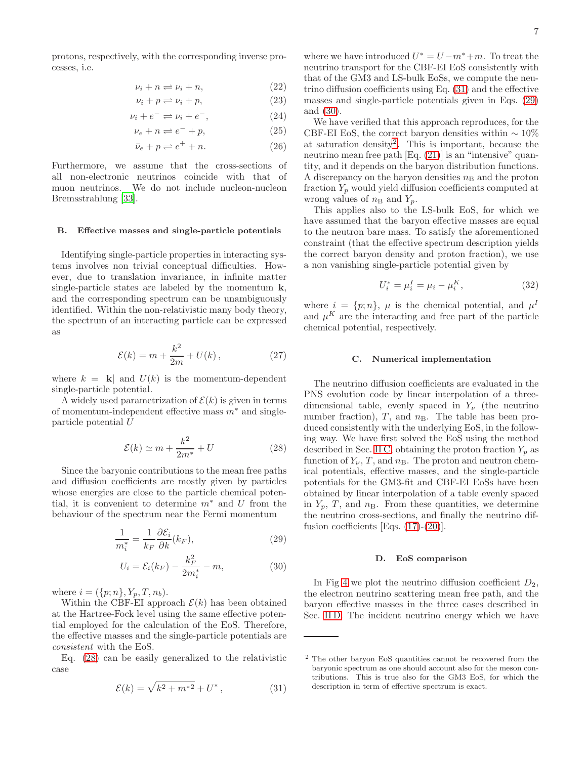$$
\nu_i + n \rightleftharpoons \nu_i + n,\tag{22}
$$

$$
\nu_i + p \rightleftharpoons \nu_i + p,\tag{23}
$$

$$
\nu_i + e^- \rightleftharpoons \nu_i + e^-, \tag{24}
$$

$$
\nu_e + n \rightleftharpoons e^- + p,\tag{25}
$$

$$
\bar{\nu}_e + p \rightleftharpoons e^+ + n. \tag{26}
$$

Furthermore, we assume that the cross-sections of all non-electronic neutrinos coincide with that of muon neutrinos. We do not include nucleon-nucleon Bremsstrahlung [\[33\]](#page-22-7).

## B. Effective masses and single-particle potentials

Identifying single-particle properties in interacting systems involves non trivial conceptual difficulties. However, due to translation invariance, in infinite matter single-particle states are labeled by the momentum  $\bf{k}$ , and the corresponding spectrum can be unambiguously identified. Within the non-relativistic many body theory, the spectrum of an interacting particle can be expressed as

$$
\mathcal{E}(k) = m + \frac{k^2}{2m} + U(k) , \qquad (27)
$$

where  $k = |\mathbf{k}|$  and  $U(k)$  is the momentum-dependent single-particle potential.

A widely used parametrization of  $\mathcal{E}(k)$  is given in terms of momentum-independent effective mass  $m^*$  and singleparticle potential U

<span id="page-6-0"></span>
$$
\mathcal{E}(k) \simeq m + \frac{k^2}{2m^*} + U \tag{28}
$$

Since the baryonic contributions to the mean free paths and diffusion coefficients are mostly given by particles whose energies are close to the particle chemical potential, it is convenient to determine  $m^*$  and U from the behaviour of the spectrum near the Fermi momentum

$$
\frac{1}{m_i^*} = \frac{1}{k_F} \frac{\partial \mathcal{E}_i}{\partial k}(k_F),\tag{29}
$$

$$
U_i = \mathcal{E}_i(k_F) - \frac{k_F^2}{2m_i^*} - m,
$$
 (30)

where  $i = (\{p; n\}, Y_p, T, n_b)$ .

Within the CBF-EI approach  $\mathcal{E}(k)$  has been obtained at the Hartree-Fock level using the same effective potential employed for the calculation of the EoS. Therefore, the effective masses and the single-particle potentials are consistent with the EoS.

Eq. [\(28\)](#page-6-0) can be easily generalized to the relativistic case

<span id="page-6-1"></span>
$$
\mathcal{E}(k) = \sqrt{k^2 + m^{*2}} + U^*,\tag{31}
$$

where we have introduced  $U^* = U - m^* + m$ . To treat the neutrino transport for the CBF-EI EoS consistently with that of the GM3 and LS-bulk EoSs, we compute the neutrino diffusion coefficients using Eq. [\(31\)](#page-6-1) and the effective masses and single-particle potentials given in Eqs. [\(29\)](#page-6-2) and [\(30\)](#page-6-3).

We have verified that this approach reproduces, for the CBF-EI EoS, the correct baryon densities within  $\sim 10\%$ at saturation density[2](#page-6-4) . This is important, because the neutrino mean free path [Eq. [\(21\)](#page-5-3)] is an "intensive" quantity, and it depends on the baryon distribution functions. A discrepancy on the baryon densities  $n<sub>B</sub>$  and the proton fraction  $Y_p$  would yield diffusion coefficients computed at wrong values of  $n_\text{B}$  and  $Y_p$ .

This applies also to the LS-bulk EoS, for which we have assumed that the baryon effective masses are equal to the neutron bare mass. To satisfy the aforementioned constraint (that the effective spectrum description yields the correct baryon density and proton fraction), we use a non vanishing single-particle potential given by

$$
U_i^* = \mu_i^I = \mu_i - \mu_i^K,
$$
\n(32)

where  $i = \{p; n\}, \mu$  is the chemical potential, and  $\mu^I$ and  $\mu^{K}$  are the interacting and free part of the particle chemical potential, respectively.

## <span id="page-6-5"></span>C. Numerical implementation

The neutrino diffusion coefficients are evaluated in the PNS evolution code by linear interpolation of a threedimensional table, evenly spaced in  $Y_{\nu}$  (the neutrino number fraction),  $T$ , and  $n<sub>B</sub>$ . The table has been produced consistently with the underlying EoS, in the following way. We have first solved the EoS using the method described in Sec. [II C,](#page-3-0) obtaining the proton fraction  $Y_p$  as function of  $Y_{\nu}$ , T, and  $n_{\rm B}$ . The proton and neutron chemical potentials, effective masses, and the single-particle potentials for the GM3-fit and CBF-EI EoSs have been obtained by linear interpolation of a table evenly spaced in  $Y_p$ , T, and  $n_B$ . From these quantities, we determine the neutrino cross-sections, and finally the neutrino diffusion coefficients [Eqs.  $(17)-(20)$  $(17)-(20)$ ].

#### <span id="page-6-6"></span>D. EoS comparison

<span id="page-6-3"></span><span id="page-6-2"></span>In Fig [4](#page-8-0) we plot the neutrino diffusion coefficient  $D_2$ , the electron neutrino scattering mean free path, and the baryon effective masses in the three cases described in Sec. [II D.](#page-3-2) The incident neutrino energy which we have

<span id="page-6-4"></span><sup>2</sup> The other baryon EoS quantities cannot be recovered from the baryonic spectrum as one should account also for the meson contributions. This is true also for the GM3 EoS, for which the description in term of effective spectrum is exact.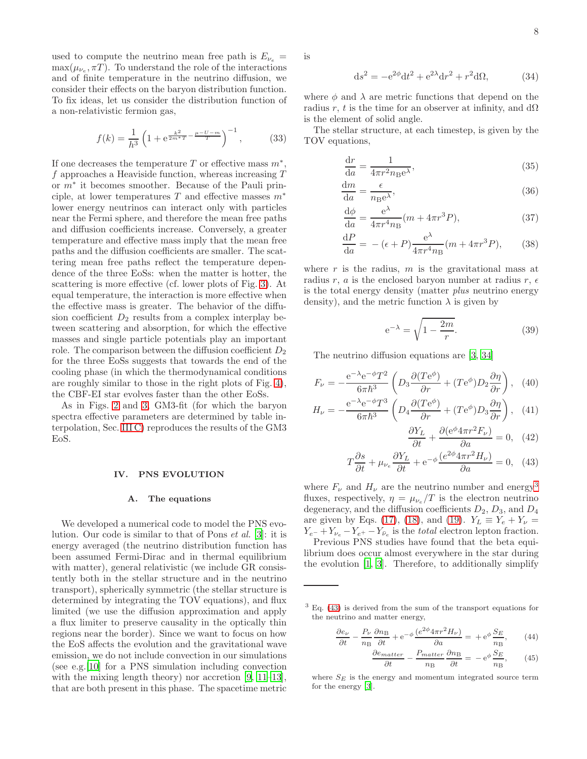used to compute the neutrino mean free path is  $E_{\nu_e}$  =  $\max(\mu_{\nu_e}, \pi T)$ . To understand the role of the interactions and of finite temperature in the neutrino diffusion, we consider their effects on the baryon distribution function. To fix ideas, let us consider the distribution function of a non-relativistic fermion gas,

$$
f(k) = \frac{1}{h^3} \left( 1 + e^{\frac{k^2}{2m^*T} - \frac{\mu - U - m}{T}} \right)^{-1}, \tag{33}
$$

If one decreases the temperature  $T$  or effective mass  $m^*$ , f approaches a Heaviside function, whereas increasing  $T$ or m<sup>∗</sup> it becomes smoother. Because of the Pauli principle, at lower temperatures T and effective masses  $m^*$ lower energy neutrinos can interact only with particles near the Fermi sphere, and therefore the mean free paths and diffusion coefficients increase. Conversely, a greater temperature and effective mass imply that the mean free paths and the diffusion coefficients are smaller. The scattering mean free paths reflect the temperature dependence of the three EoSs: when the matter is hotter, the scattering is more effective (cf. lower plots of Fig. [3\)](#page-5-1). At equal temperature, the interaction is more effective when the effective mass is greater. The behavior of the diffusion coefficient  $D_2$  results from a complex interplay between scattering and absorption, for which the effective masses and single particle potentials play an important role. The comparison between the diffusion coefficient  $D_2$ for the three EoSs suggests that towards the end of the cooling phase (in which the thermodynamical conditions are roughly similar to those in the right plots of Fig. [4\)](#page-8-0), the CBF-EI star evolves faster than the other EoSs.

As in Figs. [2](#page-4-0) and [3,](#page-5-1) GM3-fit (for which the baryon spectra effective parameters are determined by table interpolation, Sec. [III C\)](#page-6-5) reproduces the results of the GM3 EoS.

## <span id="page-7-0"></span>IV. PNS EVOLUTION

## <span id="page-7-1"></span>A. The equations

We developed a numerical code to model the PNS evolution. Our code is similar to that of Pons et al. [\[3\]](#page-21-1): it is energy averaged (the neutrino distribution function has been assumed Fermi-Dirac and in thermal equilibrium with matter), general relativistic (we include GR consistently both in the stellar structure and in the neutrino transport), spherically symmetric (the stellar structure is determined by integrating the TOV equations), and flux limited (we use the diffusion approximation and apply a flux limiter to preserve causality in the optically thin regions near the border). Since we want to focus on how the EoS affects the evolution and the gravitational wave emission, we do not include convection in our simulations (see e.g.[\[10\]](#page-21-21) for a PNS simulation including convection with the mixing length theory) nor accretion [\[9](#page-21-8), [11](#page-21-22)[–13\]](#page-21-9), that are both present in this phase. The spacetime metric

is

 $\frac{1}{\epsilon}$ 

<span id="page-7-8"></span>
$$
ds^{2} = -e^{2\phi}dt^{2} + e^{2\lambda}dr^{2} + r^{2}d\Omega, \qquad (34)
$$

where  $\phi$  and  $\lambda$  are metric functions that depend on the radius r, t is the time for an observer at infinity, and  $d\Omega$ is the element of solid angle.

The stellar structure, at each timestep, is given by the TOV equations,

<span id="page-7-4"></span>
$$
\frac{\mathrm{d}r}{\mathrm{d}a} = \frac{1}{4\pi r^2 n_{\mathrm{B}} \mathrm{e}^{\lambda}},\tag{35}
$$

$$
\frac{\mathrm{d}m}{\mathrm{d}a} = \frac{\epsilon}{n_{\mathrm{B}}\mathrm{e}^{\lambda}},\tag{36}
$$

$$
\frac{\mathrm{d}\phi}{\mathrm{d}a} = \frac{\mathrm{e}^{\lambda}}{4\pi r^4 n_\mathrm{B}} (m + 4\pi r^3 P),\tag{37}
$$

$$
\frac{\mathrm{d}P}{\mathrm{d}a} = -(\epsilon + P) \frac{\mathrm{e}^{\lambda}}{4\pi r^4 n_\mathrm{B}} (m + 4\pi r^3 P),\qquad(38)
$$

where  $r$  is the radius,  $m$  is the gravitational mass at radius r, a is the enclosed baryon number at radius r,  $\epsilon$ is the total energy density (matter plus neutrino energy density), and the metric function  $\lambda$  is given by

<span id="page-7-6"></span><span id="page-7-5"></span>
$$
e^{-\lambda} = \sqrt{1 - \frac{2m}{r}}.\tag{39}
$$

The neutrino diffusion equations are [\[3,](#page-21-1) [34\]](#page-22-8)

$$
F_{\nu} = -\frac{e^{-\lambda}e^{-\phi}T^2}{6\pi\hbar^3} \left( D_3 \frac{\partial (T e^{\phi})}{\partial r} + (T e^{\phi}) D_2 \frac{\partial \eta}{\partial r} \right), \quad (40)
$$

$$
H_{\nu} = -\frac{e^{-\lambda}e^{-\phi}T^3}{6\pi\hbar^3} \left(D_4 \frac{\partial (T e^{\phi})}{\partial r} + (T e^{\phi})D_3 \frac{\partial \eta}{\partial r}\right), \quad (41)
$$

<span id="page-7-7"></span><span id="page-7-3"></span>
$$
\frac{\partial Y_L}{\partial t} + \frac{\partial (e^{\phi} 4\pi r^2 F_{\nu})}{\partial a} = 0, \quad (42)
$$

$$
T\frac{\partial s}{\partial t} + \mu_{\nu_e} \frac{\partial Y_L}{\partial t} + e^{-\phi} \frac{(e^{2\phi} 4\pi r^2 H_{\nu})}{\partial a} = 0, \quad (43)
$$

where  $F_{\nu}$  and  $H_{\nu}$  are the neutrino number and energy<sup>[3](#page-7-2)</sup> fluxes, respectively,  $\eta = \mu_{\nu_e}/T$  is the electron neutrino degeneracy, and the diffusion coefficients  $D_2$ ,  $D_3$ , and  $D_4$ are given by Eqs. [\(17\)](#page-5-4), [\(18\)](#page-5-6), and [\(19\)](#page-5-7).  $Y_L \equiv Y_e + Y_\nu =$  $Y_{e-} + Y_{\nu_e} - Y_{e+} - Y_{\bar{\nu}_e}$  is the *total* electron lepton fraction. Previous PNS studies have found that the beta equi-

librium does occur almost everywhere in the star during the evolution [\[1,](#page-21-0) [3](#page-21-1)]. Therefore, to additionally simplify

$$
\frac{\partial e_{\nu}}{\partial t} - \frac{P_{\nu}}{n_{\text{B}}} \frac{\partial n_{\text{B}}}{\partial t} + e^{-\phi} \frac{(e^{2\phi} 4\pi r^2 H_{\nu})}{\partial a} = + e^{\phi} \frac{S_E}{n_{\text{B}}},\qquad(44)
$$

$$
\frac{\partial e_{matter}}{\partial t} - \frac{P_{matter}}{n_{\rm B}} \frac{\partial n_{\rm B}}{\partial t} = -e^{\phi} \frac{S_E}{n_{\rm B}},\qquad(45)
$$

<span id="page-7-2"></span><sup>3</sup> Eq. [\(43\)](#page-7-3) is derived from the sum of the transport equations for the neutrino and matter energy,

where  $S_E$  is the energy and momentum integrated source term for the energy [\[3\]](#page-21-1).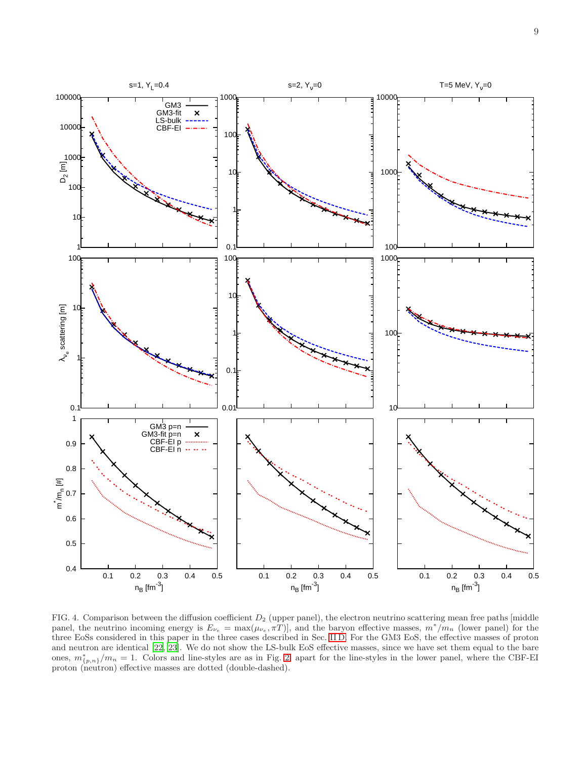

<span id="page-8-0"></span>FIG. 4. Comparison between the diffusion coefficient  $D_2$  (upper panel), the electron neutrino scattering mean free paths [middle panel, the neutrino incoming energy is  $E_{\nu_e} = \max(\mu_{\nu_e}, \pi T)$ , and the baryon effective masses,  $m^*/m_n$  (lower panel) for the three EoSs considered in this paper in the three cases described in Sec. [II D.](#page-3-2) For the GM3 EoS, the effective masses of proton and neutron are identical [\[22](#page-21-19), [23\]](#page-21-20). We do not show the LS-bulk EoS effective masses, since we have set them equal to the bare ones,  $m^*_{\{p,n\}}/m_n = 1$ . Colors and line-styles are as in Fig. [2,](#page-4-0) apart for the line-styles in the lower panel, where the CBF-EI proton (neutron) effective masses are dotted (double-dashed).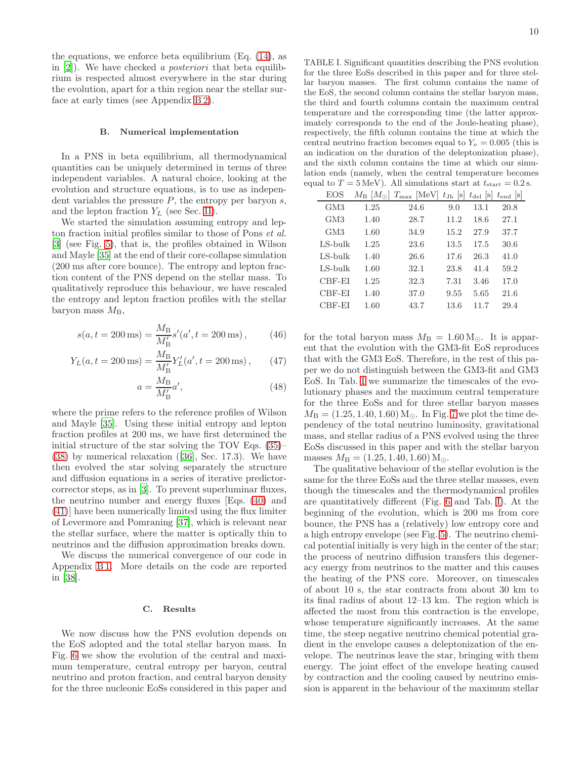the equations, we enforce beta equilibrium (Eq.  $(14)$ , as in  $[2]$ ). We have checked a *posteriori* that beta equilibrium is respected almost everywhere in the star during the evolution, apart for a thin region near the stellar surface at early times (see Appendix [B 2\)](#page-20-1).

### <span id="page-9-2"></span>B. Numerical implementation

In a PNS in beta equilibrium, all thermodynamical quantities can be uniquely determined in terms of three independent variables. A natural choice, looking at the evolution and structure equations, is to use as independent variables the pressure  $P$ , the entropy per baryon  $s$ , and the lepton fraction  $Y_L$  (see Sec. [II\)](#page-1-0).

We started the simulation assuming entropy and lepton fraction initial profiles similar to those of Pons et al. [\[3\]](#page-21-1) (see Fig. [5\)](#page-10-0), that is, the profiles obtained in Wilson and Mayle [\[35\]](#page-22-9) at the end of their core-collapse simulation (200 ms after core bounce). The entropy and lepton fraction content of the PNS depend on the stellar mass. To qualitatively reproduce this behaviour, we have rescaled the entropy and lepton fraction profiles with the stellar baryon mass  $M_{\rm B}$ ,

$$
s(a, t = 200 \,\text{ms}) = \frac{M_B}{M'_B} s'(a', t = 200 \,\text{ms}),\tag{46}
$$

$$
Y_L(a, t = 200 \,\text{ms}) = \frac{M_\text{B}}{M'_\text{B}} Y'_L(a', t = 200 \,\text{ms}),\qquad (47)
$$

$$
a = \frac{M_{\rm B}}{M'_{\rm B}} a',\tag{48}
$$

where the prime refers to the reference profiles of Wilson and Mayle [\[35](#page-22-9)]. Using these initial entropy and lepton fraction profiles at 200 ms, we have first determined the initial structure of the star solving the TOV Eqs. [\(35\)](#page-7-4)– [\(38\)](#page-7-5) by numerical relaxation ([\[36](#page-23-0)], Sec. 17.3). We have then evolved the star solving separately the structure and diffusion equations in a series of iterative predictorcorrector steps, as in [\[3\]](#page-21-1). To prevent superluminar fluxes, the neutrino number and energy fluxes [Eqs. [\(40\)](#page-7-6) and [\(41\)](#page-7-7)] have been numerically limited using the flux limiter of Levermore and Pomraning [\[37](#page-23-1)], which is relevant near the stellar surface, where the matter is optically thin to neutrinos and the diffusion approximation breaks down.

We discuss the numerical convergence of our code in Appendix [B 1.](#page-19-0) More details on the code are reported in [\[38](#page-23-2)].

## <span id="page-9-1"></span>C. Results

We now discuss how the PNS evolution depends on the EoS adopted and the total stellar baryon mass. In Fig. [6](#page-11-0) we show the evolution of the central and maximum temperature, central entropy per baryon, central neutrino and proton fraction, and central baryon density for the three nucleonic EoSs considered in this paper and

<span id="page-9-0"></span>TABLE I. Significant quantities describing the PNS evolution for the three EoSs described in this paper and for three stellar baryon masses. The first column contains the name of the EoS, the second column contains the stellar baryon mass, the third and fourth columns contain the maximum central temperature and the corresponding time (the latter approximately corresponds to the end of the Joule-heating phase), respectively, the fifth column contains the time at which the central neutrino fraction becomes equal to  $Y_{\nu} = 0.005$  (this is an indication on the duration of the deleptonization phase), and the sixth column contains the time at which our simulation ends (namely, when the central temperature becomes equal to  $T = 5$  MeV). All simulations start at  $t_{\text{start}} = 0.2$  s.

| EOS      |      | $M_{\rm B}$ $ M_{\odot} $ $T_{\rm max}$ MeV $t_{\rm Jh}$ s $t_{\rm del}$ s $t_{\rm end}$ s |      |      |      |
|----------|------|--------------------------------------------------------------------------------------------|------|------|------|
| GM3      | 1.25 | 24.6                                                                                       | 9.0  | 13.1 | 20.8 |
| GM3      | 1.40 | 28.7                                                                                       | 11.2 | 18.6 | 27.1 |
| GM3      | 1.60 | 34.9                                                                                       | 15.2 | 27.9 | 37.7 |
| LS-bulk  | 1.25 | 23.6                                                                                       | 13.5 | 17.5 | 30.6 |
| LS-bulk  | 1.40 | 26.6                                                                                       | 17.6 | 26.3 | 41.0 |
| LS-bulk  | 1.60 | 32.1                                                                                       | 23.8 | 41.4 | 59.2 |
| CBF-EI   | 1.25 | 32.3                                                                                       | 7.31 | 3.46 | 17.0 |
| $CBF-EI$ | 1.40 | 37.0                                                                                       | 9.55 | 5.65 | 21.6 |
| $CBF-EI$ | 1.60 | 43.7                                                                                       | 13.6 | 11.7 | 29.4 |
|          |      |                                                                                            |      |      |      |

for the total baryon mass  $M_{\rm B} = 1.60 \,\rm M_{\odot}$ . It is apparent that the evolution with the GM3-fit EoS reproduces that with the GM3 EoS. Therefore, in the rest of this paper we do not distinguish between the GM3-fit and GM3 EoS. In Tab. [I](#page-9-0) we summarize the timescales of the evolutionary phases and the maximum central temperature for the three EoSs and for three stellar baryon masses  $M_{\rm B} = (1.25, 1.40, 1.60) \,\rm M_{\odot}$ . In Fig. [7](#page-12-0) we plot the time dependency of the total neutrino luminosity, gravitational mass, and stellar radius of a PNS evolved using the three EoSs discussed in this paper and with the stellar baryon masses  $M_B = (1.25, 1.40, 1.60) M_{\odot}$ .

The qualitative behaviour of the stellar evolution is the same for the three EoSs and the three stellar masses, even though the timescales and the thermodynamical profiles are quantitatively different (Fig. [6](#page-11-0) and Tab. [I\)](#page-9-0). At the beginning of the evolution, which is 200 ms from core bounce, the PNS has a (relatively) low entropy core and a high entropy envelope (see Fig. [5\)](#page-10-0). The neutrino chemical potential initially is very high in the center of the star; the process of neutrino diffusion transfers this degeneracy energy from neutrinos to the matter and this causes the heating of the PNS core. Moreover, on timescales of about 10 s, the star contracts from about 30 km to its final radius of about 12–13 km. The region which is affected the most from this contraction is the envelope, whose temperature significantly increases. At the same time, the steep negative neutrino chemical potential gradient in the envelope causes a deleptonization of the envelope. The neutrinos leave the star, bringing with them energy. The joint effect of the envelope heating caused by contraction and the cooling caused by neutrino emission is apparent in the behaviour of the maximum stellar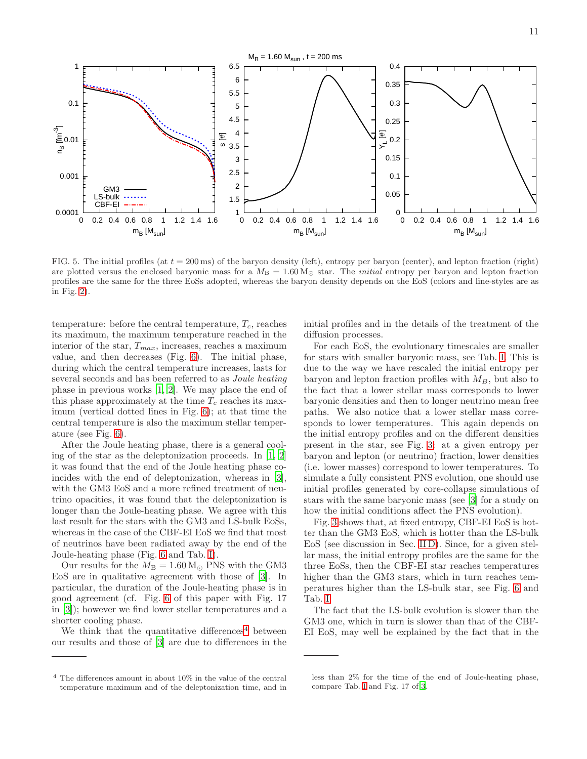11



<span id="page-10-0"></span>FIG. 5. The initial profiles (at  $t = 200 \,\text{ms}$ ) of the baryon density (left), entropy per baryon (center), and lepton fraction (right) are plotted versus the enclosed baryonic mass for a  $M_B = 1.60 M_{\odot}$  star. The *initial* entropy per baryon and lepton fraction profiles are the same for the three EoSs adopted, whereas the baryon density depends on the EoS (colors and line-styles are as in Fig. [2\)](#page-4-0).

temperature: before the central temperature,  $T_c$ , reaches its maximum, the maximum temperature reached in the interior of the star,  $T_{max}$ , increases, reaches a maximum value, and then decreases (Fig. [6\)](#page-11-0). The initial phase, during which the central temperature increases, lasts for several seconds and has been referred to as Joule heating phase in previous works [\[1](#page-21-0), [2](#page-21-7)]. We may place the end of this phase approximately at the time  $T_c$  reaches its maximum (vertical dotted lines in Fig. [6\)](#page-11-0); at that time the central temperature is also the maximum stellar temperature (see Fig. [6\)](#page-11-0).

After the Joule heating phase, there is a general cooling of the star as the deleptonization proceeds. In [\[1](#page-21-0), [2](#page-21-7)] it was found that the end of the Joule heating phase coincides with the end of deleptonization, whereas in [\[3\]](#page-21-1), with the GM3 EoS and a more refined treatment of neutrino opacities, it was found that the deleptonization is longer than the Joule-heating phase. We agree with this last result for the stars with the GM3 and LS-bulk EoSs, whereas in the case of the CBF-EI EoS we find that most of neutrinos have been radiated away by the end of the Joule-heating phase (Fig. [6](#page-11-0) and Tab. [I\)](#page-9-0).

Our results for the  $M_B = 1.60 M_{\odot}$  PNS with the GM3 EoS are in qualitative agreement with those of [\[3\]](#page-21-1). In particular, the duration of the Joule-heating phase is in good agreement (cf. Fig. [6](#page-11-0) of this paper with Fig. 17 in [\[3](#page-21-1)]); however we find lower stellar temperatures and a shorter cooling phase.

We think that the quantitative differences<sup>[4](#page-10-1)</sup> between our results and those of [\[3\]](#page-21-1) are due to differences in the

initial profiles and in the details of the treatment of the diffusion processes.

For each EoS, the evolutionary timescales are smaller for stars with smaller baryonic mass, see Tab. [I.](#page-9-0) This is due to the way we have rescaled the initial entropy per baryon and lepton fraction profiles with  $M_B$ , but also to the fact that a lower stellar mass corresponds to lower baryonic densities and then to longer neutrino mean free paths. We also notice that a lower stellar mass corresponds to lower temperatures. This again depends on the initial entropy profiles and on the different densities present in the star, see Fig. [3:](#page-5-1) at a given entropy per baryon and lepton (or neutrino) fraction, lower densities (i.e. lower masses) correspond to lower temperatures. To simulate a fully consistent PNS evolution, one should use initial profiles generated by core-collapse simulations of stars with the same baryonic mass (see [\[3\]](#page-21-1) for a study on how the initial conditions affect the PNS evolution).

Fig. [3](#page-5-1) shows that, at fixed entropy, CBF-EI EoS is hotter than the GM3 EoS, which is hotter than the LS-bulk EoS (see discussion in Sec. [II D\)](#page-3-2). Since, for a given stellar mass, the initial entropy profiles are the same for the three EoSs, then the CBF-EI star reaches temperatures higher than the GM3 stars, which in turn reaches temperatures higher than the LS-bulk star, see Fig. [6](#page-11-0) and Tab. [I.](#page-9-0)

The fact that the LS-bulk evolution is slower than the GM3 one, which in turn is slower than that of the CBF-EI EoS, may well be explained by the fact that in the

<span id="page-10-1"></span> $4$  The differences amount in about  $10\%$  in the value of the central temperature maximum and of the deleptonization time, and in

less than 2% for the time of the end of Joule-heating phase, compare Tab. [I](#page-9-0) and Fig. 17 of [3.](#page-21-1)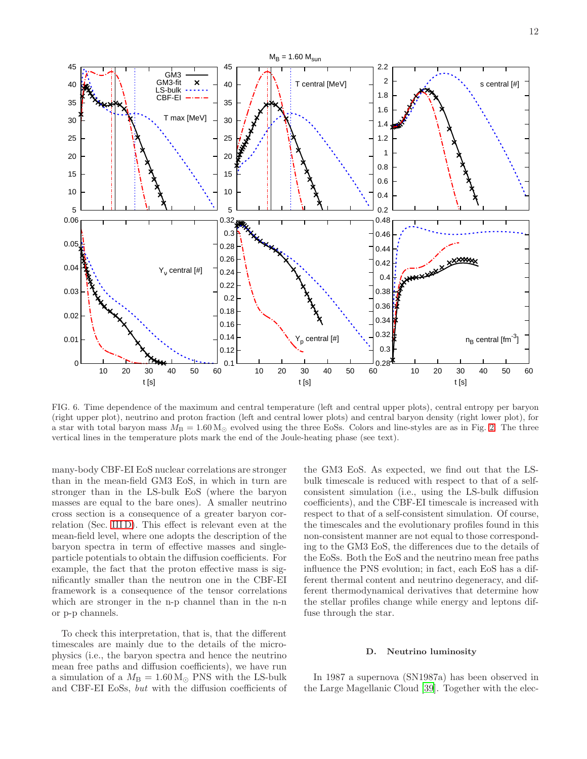

<span id="page-11-0"></span>FIG. 6. Time dependence of the maximum and central temperature (left and central upper plots), central entropy per baryon (right upper plot), neutrino and proton fraction (left and central lower plots) and central baryon density (right lower plot), for a star with total baryon mass  $M_B = 1.60 M_{\odot}$  evolved using the three EoSs. Colors and line-styles are as in Fig. [2.](#page-4-0) The three vertical lines in the temperature plots mark the end of the Joule-heating phase (see text).

many-body CBF-EI EoS nuclear correlations are stronger than in the mean-field GM3 EoS, in which in turn are stronger than in the LS-bulk EoS (where the baryon masses are equal to the bare ones). A smaller neutrino cross section is a consequence of a greater baryon correlation (Sec. [III D\)](#page-6-6). This effect is relevant even at the mean-field level, where one adopts the description of the baryon spectra in term of effective masses and singleparticle potentials to obtain the diffusion coefficients. For example, the fact that the proton effective mass is significantly smaller than the neutron one in the CBF-EI framework is a consequence of the tensor correlations which are stronger in the n-p channel than in the n-n or p-p channels.

To check this interpretation, that is, that the different timescales are mainly due to the details of the microphysics (i.e., the baryon spectra and hence the neutrino mean free paths and diffusion coefficients), we have run a simulation of a  $M_{\rm B} = 1.60 \,\rm M_{\odot}$  PNS with the LS-bulk and CBF-EI EoSs, but with the diffusion coefficients of

the GM3 EoS. As expected, we find out that the LSbulk timescale is reduced with respect to that of a selfconsistent simulation (i.e., using the LS-bulk diffusion coefficients), and the CBF-EI timescale is increased with respect to that of a self-consistent simulation. Of course, the timescales and the evolutionary profiles found in this non-consistent manner are not equal to those corresponding to the GM3 EoS, the differences due to the details of the EoSs. Both the EoS and the neutrino mean free paths influence the PNS evolution; in fact, each EoS has a different thermal content and neutrino degeneracy, and different thermodynamical derivatives that determine how the stellar profiles change while energy and leptons diffuse through the star.

## D. Neutrino luminosity

In 1987 a supernova (SN1987a) has been observed in the Large Magellanic Cloud [\[39\]](#page-23-3). Together with the elec-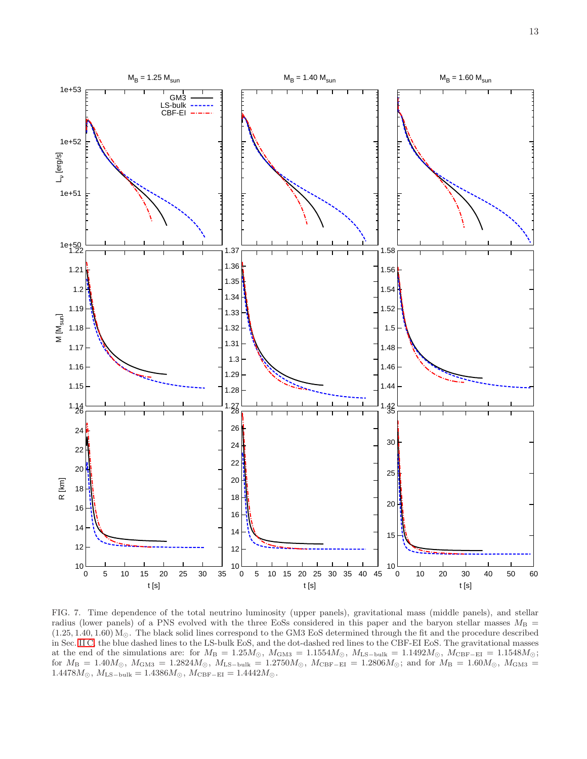

<span id="page-12-0"></span>FIG. 7. Time dependence of the total neutrino luminosity (upper panels), gravitational mass (middle panels), and stellar radius (lower panels) of a PNS evolved with the three EoSs considered in this paper and the baryon stellar masses  $M_B$  = (1.25, 1.40, 1.60) M⊙. The black solid lines correspond to the GM3 EoS determined through the fit and the procedure described in Sec. [II C,](#page-3-0) the blue dashed lines to the LS-bulk EoS, and the dot-dashed red lines to the CBF-EI EoS. The gravitational masses at the end of the simulations are: for  $M_B = 1.25M_\odot$ ,  $M_{\rm GM3} = 1.1554M_\odot$ ,  $M_{\rm LS-bulk} = 1.1492M_\odot$ ,  $M_{\rm CBF-EI} = 1.1548M_\odot$ ;  $f_{\rm tot}$  M<sub>B</sub> = 1.40 $M_{\odot}$ ,  $M_{\rm GM3}$  = 1.2824 $M_{\odot}$ ,  $M_{\rm LS-bulk}$  = 1.2750 $M_{\odot}$ ,  $M_{\rm CBF-EI}$  = 1.2806 $M_{\odot}$ ; and for  $M_{\rm B}$  = 1.60 $M_{\odot}$ ,  $M_{\rm GM3}$  =  $1.4478M_{\odot}$ ,  $M_{\rm LS-bulk} = 1.4386M_{\odot}$ ,  $M_{\rm CBF-EI} = 1.4442M_{\odot}$ .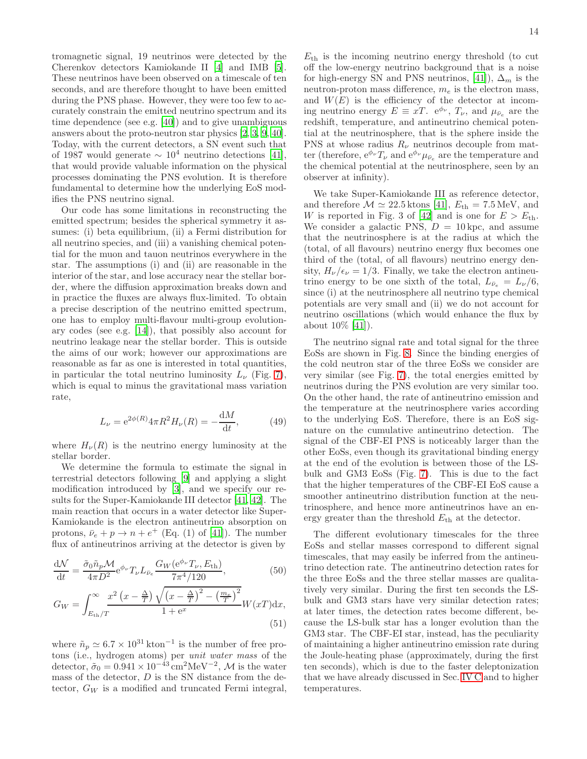tromagnetic signal, 19 neutrinos were detected by the Cherenkov detectors Kamiokande II [\[4\]](#page-21-2) and IMB [\[5\]](#page-21-3). These neutrinos have been observed on a timescale of ten seconds, and are therefore thought to have been emitted during the PNS phase. However, they were too few to accurately constrain the emitted neutrino spectrum and its time dependence (see e.g. [\[40](#page-23-4)]) and to give unambiguous answers about the proto-neutron star physics [\[2,](#page-21-7) [3,](#page-21-1) [9](#page-21-8), [40\]](#page-23-4). Today, with the current detectors, a SN event such that of 1987 would generate  $\sim 10^4$  neutrino detections [\[41\]](#page-23-5), that would provide valuable information on the physical processes dominating the PNS evolution. It is therefore fundamental to determine how the underlying EoS modifies the PNS neutrino signal.

Our code has some limitations in reconstructing the emitted spectrum; besides the spherical symmetry it assumes: (i) beta equilibrium, (ii) a Fermi distribution for all neutrino species, and (iii) a vanishing chemical potential for the muon and tauon neutrinos everywhere in the star. The assumptions (i) and (ii) are reasonable in the interior of the star, and lose accuracy near the stellar border, where the diffusion approximation breaks down and in practice the fluxes are always flux-limited. To obtain a precise description of the neutrino emitted spectrum, one has to employ multi-flavour multi-group evolutionary codes (see e.g. [\[14\]](#page-21-10)), that possibly also account for neutrino leakage near the stellar border. This is outside the aims of our work; however our approximations are reasonable as far as one is interested in total quantities, in particular the total neutrino luminosity  $L_{\nu}$  (Fig. [7\)](#page-12-0), which is equal to minus the gravitational mass variation rate,

<span id="page-13-0"></span>
$$
L_{\nu} = e^{2\phi(R)} 4\pi R^2 H_{\nu}(R) = -\frac{dM}{dt},
$$
 (49)

where  $H_{\nu}(R)$  is the neutrino energy luminosity at the stellar border.

We determine the formula to estimate the signal in terrestrial detectors following [\[9](#page-21-8)] and applying a slight modification introduced by [\[3\]](#page-21-1), and we specify our results for the Super-Kamiokande III detector [\[41,](#page-23-5) [42](#page-23-6)]. The main reaction that occurs in a water detector like Super-Kamiokande is the electron antineutrino absorption on protons,  $\bar{\nu}_e + p \rightarrow n + e^+$  (Eq. (1) of [\[41](#page-23-5)]). The number flux of antineutrinos arriving at the detector is given by

$$
\frac{\mathrm{d}\mathcal{N}}{\mathrm{d}t} = \frac{\tilde{\sigma}_0 \tilde{n}_p \mathcal{M}}{4\pi D^2} e^{\phi_\nu} T_\nu L_{\bar{\nu}_e} \frac{G_W (e^{\phi_\nu} T_\nu, E_{\text{th}})}{7\pi^4 / 120},\tag{50}
$$

$$
G_W = \int_{E_{\text{th}}/T}^{\infty} \frac{x^2 \left(x - \frac{\Delta}{T}\right) \sqrt{\left(x - \frac{\Delta}{T}\right)^2 - \left(\frac{m_e}{T}\right)^2}}{1 + e^x} W(xT) dx,
$$
\n(51)

where  $\tilde{n}_p \simeq 6.7 \times 10^{31}$  kton<sup>-1</sup> is the number of free protons (i.e., hydrogen atoms) per unit water mass of the detector,  $\tilde{\sigma}_0 = 0.941 \times 10^{-43} \text{ cm}^2 \text{MeV}^{-2}$ , M is the water mass of the detector,  $D$  is the SN distance from the detector,  $G_W$  is a modified and truncated Fermi integral,

 $E_{\text{th}}$  is the incoming neutrino energy threshold (to cut off the low-energy neutrino background that is a noise for high-energy SN and PNS neutrinos, [\[41\]](#page-23-5)),  $\Delta_m$  is the neutron-proton mass difference,  $m_e$  is the electron mass, and  $W(E)$  is the efficiency of the detector at incoming neutrino energy  $E \equiv xT$ .  $e^{\phi_{\nu}}$ ,  $T_{\nu}$ , and  $\mu_{\bar{\nu}_e}$  are the redshift, temperature, and antineutrino chemical potential at the neutrinosphere, that is the sphere inside the PNS at whose radius  $R_{\nu}$  neutrinos decouple from matter (therefore,  $e^{\phi_{\nu}}T_{\nu}$  and  $e^{\phi_{\nu}}\mu_{\bar{\nu}_e}$  are the temperature and the chemical potential at the neutrinosphere, seen by an observer at infinity).

We take Super-Kamiokande III as reference detector, and therefore  $\mathcal{M} \simeq 22.5$  ktons [\[41\]](#page-23-5),  $E_{\text{th}} = 7.5$  MeV, and W is reported in Fig. 3 of [\[42\]](#page-23-6) and is one for  $E > E_{\text{th}}$ . We consider a galactic PNS,  $D = 10$  kpc, and assume that the neutrinosphere is at the radius at which the (total, of all flavours) neutrino energy flux becomes one third of the (total, of all flavours) neutrino energy density,  $H_{\nu}/\epsilon_{\nu} = 1/3$ . Finally, we take the electron antineutrino energy to be one sixth of the total,  $L_{\bar{\nu}_e} = L_{\nu}/6$ , since (i) at the neutrinosphere all neutrino type chemical potentials are very small and (ii) we do not account for neutrino oscillations (which would enhance the flux by about 10% [\[41\]](#page-23-5)).

The neutrino signal rate and total signal for the three EoSs are shown in Fig. [8.](#page-14-1) Since the binding energies of the cold neutron star of the three EoSs we consider are very similar (see Fig. [7\)](#page-12-0), the total energies emitted by neutrinos during the PNS evolution are very similar too. On the other hand, the rate of antineutrino emission and the temperature at the neutrinosphere varies according to the underlying EoS. Therefore, there is an EoS signature on the cumulative antineutrino detection. The signal of the CBF-EI PNS is noticeably larger than the other EoSs, even though its gravitational binding energy at the end of the evolution is between those of the LSbulk and GM3 EoSs (Fig. [7\)](#page-12-0). This is due to the fact that the higher temperatures of the CBF-EI EoS cause a smoother antineutrino distribution function at the neutrinosphere, and hence more antineutrinos have an energy greater than the threshold  $E_{th}$  at the detector.

The different evolutionary timescales for the three EoSs and stellar masses correspond to different signal timescales, that may easily be inferred from the antineutrino detection rate. The antineutrino detection rates for the three EoSs and the three stellar masses are qualitatively very similar. During the first ten seconds the LSbulk and GM3 stars have very similar detection rates; at later times, the detection rates become different, because the LS-bulk star has a longer evolution than the GM3 star. The CBF-EI star, instead, has the peculiarity of maintaining a higher antineutrino emission rate during the Joule-heating phase (approximately, during the first ten seconds), which is due to the faster deleptonization that we have already discussed in Sec. [IV C](#page-9-1) and to higher temperatures.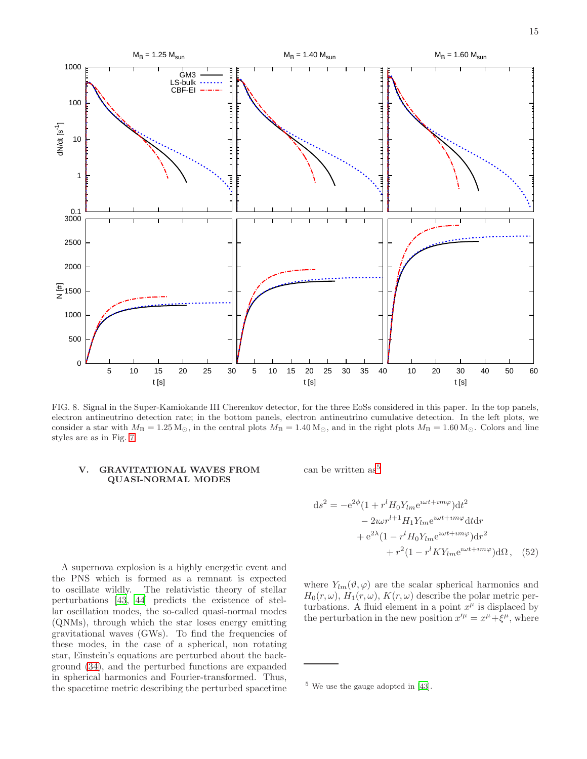![](_page_14_Figure_0.jpeg)

<span id="page-14-1"></span>FIG. 8. Signal in the Super-Kamiokande III Cherenkov detector, for the three EoSs considered in this paper. In the top panels, electron antineutrino detection rate; in the bottom panels, electron antineutrino cumulative detection. In the left plots, we consider a star with  $M_B = 1.25 M_{\odot}$ , in the central plots  $M_B = 1.40 M_{\odot}$ , and in the right plots  $M_B = 1.60 M_{\odot}$ . Colors and line styles are as in Fig. [7.](#page-12-0)

## <span id="page-14-0"></span>V. GRAVITATIONAL WAVES FROM QUASI-NORMAL MODES

A supernova explosion is a highly energetic event and the PNS which is formed as a remnant is expected to oscillate wildly. The relativistic theory of stellar perturbations [\[43](#page-23-7), [44](#page-23-8)] predicts the existence of stellar oscillation modes, the so-called quasi-normal modes (QNMs), through which the star loses energy emitting gravitational waves (GWs). To find the frequencies of these modes, in the case of a spherical, non rotating star, Einstein's equations are perturbed about the background [\(34\)](#page-7-8), and the perturbed functions are expanded in spherical harmonics and Fourier-transformed. Thus, the spacetime metric describing the perturbed spacetime

can be written as<sup>[5](#page-14-2)</sup>

$$
ds^{2} = -e^{2\phi}(1 + r^{l}H_{0}Y_{lm}e^{i\omega t + im\varphi})dt^{2}
$$

$$
- 2i\omega r^{l+1}H_{1}Y_{lm}e^{i\omega t + im\varphi}dtdr
$$

$$
+ e^{2\lambda}(1 - r^{l}H_{0}Y_{lm}e^{i\omega t + im\varphi})dr^{2}
$$

$$
+ r^{2}(1 - r^{l}KY_{lm}e^{i\omega t + im\varphi})d\Omega , \quad (52)
$$

where  $Y_{lm}(\vartheta,\varphi)$  are the scalar spherical harmonics and  $H_0(r,\omega)$ ,  $H_1(r,\omega)$ ,  $K(r,\omega)$  describe the polar metric perturbations. A fluid element in a point  $x^{\mu}$  is displaced by the perturbation in the new position  $x'^{\mu} = x^{\mu} + \xi^{\mu}$ , where

<span id="page-14-2"></span><sup>5</sup> We use the gauge adopted in [\[43](#page-23-7)].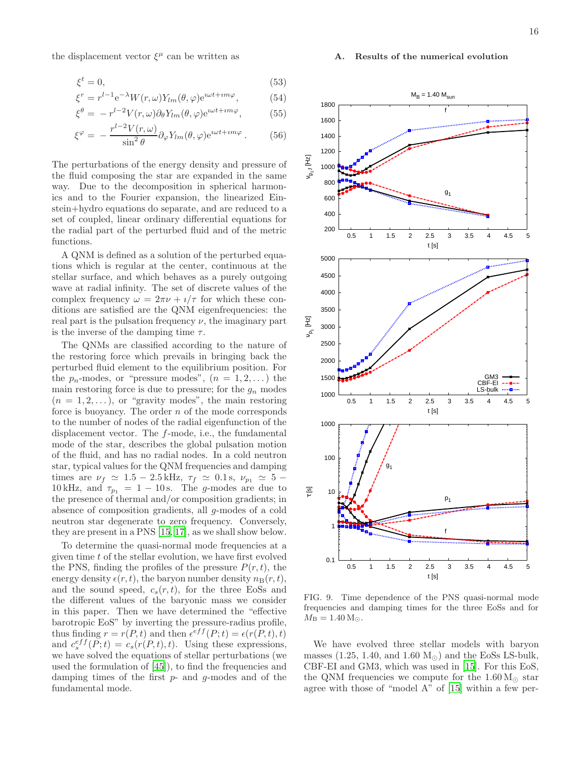the displacement vector  $\xi^{\mu}$  can be written as

$$
\xi^t = 0,\tag{53}
$$

$$
\xi^r = r^{l-1} e^{-\lambda} W(r, \omega) Y_{lm}(\theta, \varphi) e^{i\omega t + im\varphi}, \qquad (54)
$$

$$
\xi^{\theta} = -r^{l-2}V(r,\omega)\partial_{\theta}Y_{lm}(\theta,\varphi)e^{i\omega t + im\varphi}, \qquad (55)
$$

$$
\xi^{\varphi} = -\frac{r^{l-2}V(r,\omega)}{\sin^2\theta}\partial_{\varphi}Y_{lm}(\theta,\varphi)e^{i\omega t + im\varphi}.
$$
 (56)

The perturbations of the energy density and pressure of the fluid composing the star are expanded in the same way. Due to the decomposition in spherical harmonics and to the Fourier expansion, the linearized Einstein+hydro equations do separate, and are reduced to a set of coupled, linear ordinary differential equations for the radial part of the perturbed fluid and of the metric functions.

A QNM is defined as a solution of the perturbed equations which is regular at the center, continuous at the stellar surface, and which behaves as a purely outgoing wave at radial infinity. The set of discrete values of the complex frequency  $\omega = 2\pi \nu + i/\tau$  for which these conditions are satisfied are the QNM eigenfrequencies: the real part is the pulsation frequency  $\nu$ , the imaginary part is the inverse of the damping time  $\tau$ .

The QNMs are classified according to the nature of the restoring force which prevails in bringing back the perturbed fluid element to the equilibrium position. For the  $p_n$ -modes, or "pressure modes",  $(n = 1, 2, ...)$  the main restoring force is due to pressure; for the  $g_n$  modes  $(n = 1, 2, \ldots)$ , or "gravity modes", the main restoring force is buoyancy. The order  $n$  of the mode corresponds to the number of nodes of the radial eigenfunction of the displacement vector. The f-mode, i.e., the fundamental mode of the star, describes the global pulsation motion of the fluid, and has no radial nodes. In a cold neutron star, typical values for the QNM frequencies and damping times are  $\nu_f \simeq 1.5 - 2.5 \text{ kHz}, \tau_f \simeq 0.1 \text{ s}, \nu_{p_1} \simeq 5 -$ 10 kHz, and  $\tau_{p_1} = 1 - 10$  s. The g-modes are due to the presence of thermal and/or composition gradients; in absence of composition gradients, all g-modes of a cold neutron star degenerate to zero frequency. Conversely, they are present in a PNS [\[15,](#page-21-11) [17\]](#page-21-13), as we shall show below.

To determine the quasi-normal mode frequencies at a given time t of the stellar evolution, we have first evolved the PNS, finding the profiles of the pressure  $P(r, t)$ , the energy density  $\epsilon(r, t)$ , the baryon number density  $n_B(r, t)$ , and the sound speed,  $c_s(r, t)$ , for the three EoSs and the different values of the baryonic mass we consider in this paper. Then we have determined the "effective barotropic EoS" by inverting the pressure-radius profile, thus finding  $r = r(P, t)$  and then  $\epsilon^{eff}(P; t) = \epsilon(r(P, t), t)$ and  $c_s^{eff}(P;t) = c_s(r(P,t), t)$ . Using these expressions, we have solved the equations of stellar perturbations (we used the formulation of [\[45\]](#page-23-9)), to find the frequencies and damping times of the first  $p$ - and  $q$ -modes and of the fundamental mode.

## A. Results of the numerical evolution

![](_page_15_Figure_11.jpeg)

<span id="page-15-0"></span>FIG. 9. Time dependence of the PNS quasi-normal mode frequencies and damping times for the three EoSs and for  $M_{\rm B} = 1.40$  M<sub> $\odot$ </sub>.

We have evolved three stellar models with baryon masses (1.25, 1.40, and 1.60  $M_{\odot}$ ) and the EoSs LS-bulk, CBF-EI and GM3, which was used in [\[15](#page-21-11)]. For this EoS, the QNM frequencies we compute for the  $1.60 M_{\odot}$  star agree with those of "model A" of [\[15\]](#page-21-11) within a few per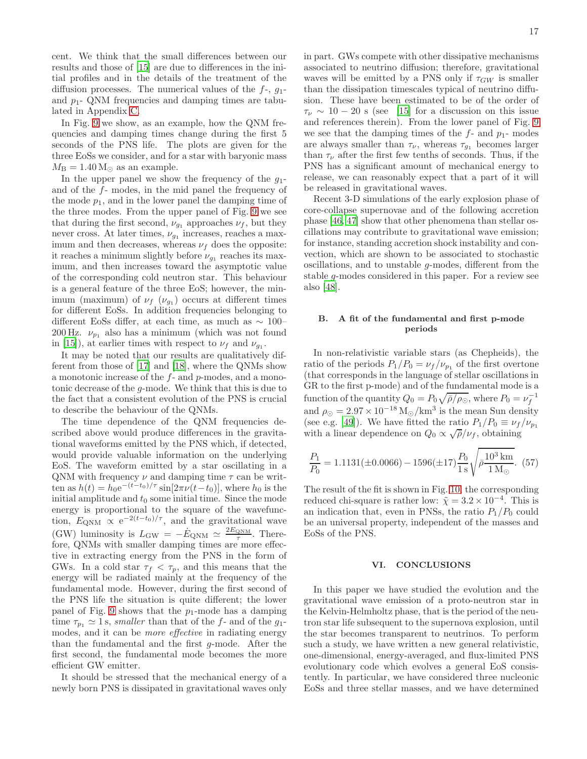cent. We think that the small differences between our results and those of [\[15\]](#page-21-11) are due to differences in the initial profiles and in the details of the treatment of the diffusion processes. The numerical values of the  $f_7$ ,  $g_1$ and  $p_1$ - QNM frequencies and damping times are tabulated in Appendix [C.](#page-21-18)

In Fig. [9](#page-15-0) we show, as an example, how the QNM frequencies and damping times change during the first 5 seconds of the PNS life. The plots are given for the three EoSs we consider, and for a star with baryonic mass  $M_{\rm B} = 1.40 \,\rm M_{\odot}$  as an example.

In the upper panel we show the frequency of the  $g_1$ and of the f- modes, in the mid panel the frequency of the mode  $p_1$ , and in the lower panel the damping time of the three modes. From the upper panel of Fig. [9](#page-15-0) we see that during the first second,  $\nu_{g_1}$  approaches  $\nu_f$ , but they never cross. At later times,  $\nu_{g_1}$  increases, reaches a maximum and then decreases, whereas  $\nu_f$  does the opposite: it reaches a minimum slightly before  $\nu_{g_1}$  reaches its maximum, and then increases toward the asymptotic value of the corresponding cold neutron star. This behaviour is a general feature of the three EoS; however, the minimum (maximum) of  $\nu_f$  ( $\nu_{g_1}$ ) occurs at different times for different EoSs. In addition frequencies belonging to different EoSs differ, at each time, as much as  $\sim 100-$ 200 Hz.  $\nu_{p_1}$  also has a minimum (which was not found in [\[15](#page-21-11)]), at earlier times with respect to  $\nu_f$  and  $\nu_{g_1}$ .

It may be noted that our results are qualitatively different from those of [\[17\]](#page-21-13) and [\[18](#page-21-14)], where the QNMs show a monotonic increase of the f- and p-modes, and a monotonic decrease of the g-mode. We think that this is due to the fact that a consistent evolution of the PNS is crucial to describe the behaviour of the QNMs.

The time dependence of the QNM frequencies described above would produce differences in the gravitational waveforms emitted by the PNS which, if detected, would provide valuable information on the underlying EoS. The waveform emitted by a star oscillating in a QNM with frequency  $\nu$  and damping time  $\tau$  can be written as  $h(t) = h_0 e^{-(t-t_0)/\tau} \sin[2\pi \nu (t-t_0)]$ , where  $h_0$  is the initial amplitude and  $t_0$  some initial time. Since the mode energy is proportional to the square of the wavefunction,  $E_{\text{QNM}} \propto e^{-2(t-t_0)/\tau}$ , and the gravitational wave (GW) luminosity is  $L_{\text{GW}} = -\dot{E}_{\text{QNM}} \simeq \frac{2E_{\text{QNM}}}{\tau}$  $rac{QNM}{\tau}$ . Therefore, QNMs with smaller damping times are more effective in extracting energy from the PNS in the form of GWs. In a cold star  $\tau_f < \tau_p$ , and this means that the energy will be radiated mainly at the frequency of the fundamental mode. However, during the first second of the PNS life the situation is quite different; the lower panel of Fig. [9](#page-15-0) shows that the  $p_1$ -mode has a damping time  $\tau_{p_1} \simeq 1$  s, *smaller* than that of the f- and of the  $g_1$ modes, and it can be more effective in radiating energy than the fundamental and the first g-mode. After the first second, the fundamental mode becomes the more efficient GW emitter.

It should be stressed that the mechanical energy of a newly born PNS is dissipated in gravitational waves only

in part. GWs compete with other dissipative mechanisms associated to neutrino diffusion; therefore, gravitational waves will be emitted by a PNS only if  $\tau_{GW}$  is smaller than the dissipation timescales typical of neutrino diffusion. These have been estimated to be of the order of  $\tau_{\nu} \sim 10 - 20$  s (see [\[15](#page-21-11)] for a discussion on this issue and references therein). From the lower panel of Fig. [9](#page-15-0) we see that the damping times of the  $f$ - and  $p_1$ - modes are always smaller than  $\tau_{\nu}$ , whereas  $\tau_{g_1}$  becomes larger than  $\tau_{\nu}$  after the first few tenths of seconds. Thus, if the PNS has a significant amount of mechanical energy to release, we can reasonably expect that a part of it will be released in gravitational waves.

Recent 3-D simulations of the early explosion phase of core-collapse supernovae and of the following accretion phase [\[46,](#page-23-10) [47\]](#page-23-11) show that other phenomena than stellar oscillations may contribute to gravitational wave emission; for instance, standing accretion shock instability and convection, which are shown to be associated to stochastic oscillations, and to unstable g-modes, different from the stable g-modes considered in this paper. For a review see also [\[48\]](#page-23-12).

## B. A fit of the fundamental and first p-mode periods

In non-relativistic variable stars (as Chepheids), the ratio of the periods  $P_1/P_0 = \nu_f/\nu_{p_1}$  of the first overtone (that corresponds in the language of stellar oscillations in GR to the first p-mode) and of the fundamental mode is a function of the quantity  $Q_0 = P_0 \sqrt{\bar{\rho}/\rho_{\odot}}$ , where  $P_0 = \nu_f^{-1}$ and  $\rho_{\odot} = 2.97 \times 10^{-18} \,\mathrm{M_{\odot}/km^3}$  is the mean Sun density (see e.g. [\[49\]](#page-23-13)). We have fitted the ratio  $P_1/P_0 \equiv \nu_f/\nu_{p_1}$ with a linear dependence on  $Q_0 \propto \sqrt{\overline{\rho}}/\nu_f$ , obtaining

<span id="page-16-1"></span>
$$
\frac{P_1}{P_0} = 1.1131(\pm 0.0066) - 1596(\pm 17)\frac{P_0}{1 \text{ s}}\sqrt{\bar{\rho}\frac{10^3 \text{ km}}{1 \text{ M}_{\odot}}}. (57)
$$

The result of the fit is shown in Fig. [10;](#page-17-0) the corresponding reduced chi-square is rather low:  $\tilde{\chi} = 3.2 \times 10^{-4}$ . This is an indication that, even in PNSs, the ratio  $P_1/P_0$  could be an universal property, independent of the masses and EoSs of the PNS.

## <span id="page-16-0"></span>VI. CONCLUSIONS

In this paper we have studied the evolution and the gravitational wave emission of a proto-neutron star in the Kelvin-Helmholtz phase, that is the period of the neutron star life subsequent to the supernova explosion, until the star becomes transparent to neutrinos. To perform such a study, we have written a new general relativistic, one-dimensional, energy-averaged, and flux-limited PNS evolutionary code which evolves a general EoS consistently. In particular, we have considered three nucleonic EoSs and three stellar masses, and we have determined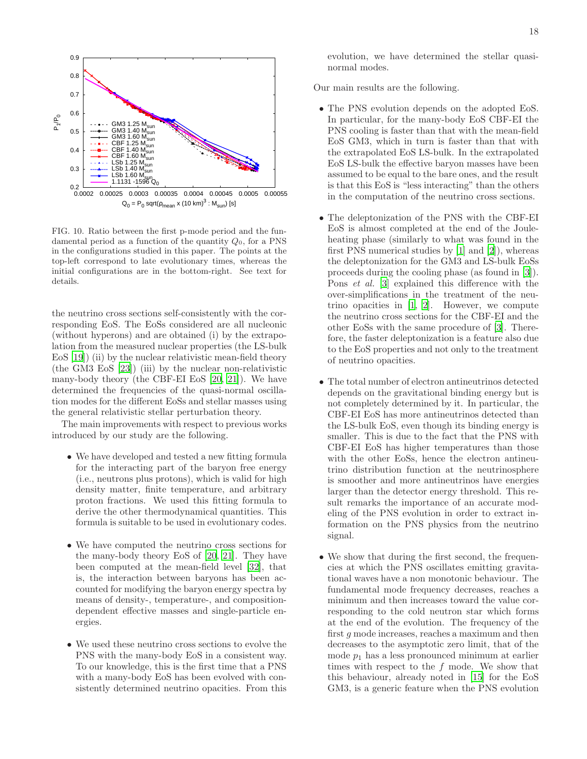![](_page_17_Figure_0.jpeg)

<span id="page-17-0"></span>FIG. 10. Ratio between the first p-mode period and the fundamental period as a function of the quantity  $Q_0$ , for a PNS in the configurations studied in this paper. The points at the top-left correspond to late evolutionary times, whereas the initial configurations are in the bottom-right. See text for details.

the neutrino cross sections self-consistently with the corresponding EoS. The EoSs considered are all nucleonic (without hyperons) and are obtained (i) by the extrapolation from the measured nuclear properties (the LS-bulk EoS [\[19\]](#page-21-15)) (ii) by the nuclear relativistic mean-field theory (the GM3 EoS [\[23\]](#page-21-20)) (iii) by the nuclear non-relativistic many-body theory (the CBF-EI EoS [\[20](#page-21-16), [21\]](#page-21-17)). We have determined the frequencies of the quasi-normal oscillation modes for the different EoSs and stellar masses using the general relativistic stellar perturbation theory.

The main improvements with respect to previous works introduced by our study are the following.

- We have developed and tested a new fitting formula for the interacting part of the baryon free energy (i.e., neutrons plus protons), which is valid for high density matter, finite temperature, and arbitrary proton fractions. We used this fitting formula to derive the other thermodynamical quantities. This formula is suitable to be used in evolutionary codes.
- We have computed the neutrino cross sections for the many-body theory EoS of [\[20](#page-21-16), [21\]](#page-21-17). They have been computed at the mean-field level [\[32](#page-22-6)], that is, the interaction between baryons has been accounted for modifying the baryon energy spectra by means of density-, temperature-, and compositiondependent effective masses and single-particle energies.
- We used these neutrino cross sections to evolve the PNS with the many-body EoS in a consistent way. To our knowledge, this is the first time that a PNS with a many-body EoS has been evolved with consistently determined neutrino opacities. From this

evolution, we have determined the stellar quasinormal modes.

Our main results are the following.

- The PNS evolution depends on the adopted EoS. In particular, for the many-body EoS CBF-EI the PNS cooling is faster than that with the mean-field EoS GM3, which in turn is faster than that with the extrapolated EoS LS-bulk. In the extrapolated EoS LS-bulk the effective baryon masses have been assumed to be equal to the bare ones, and the result is that this EoS is "less interacting" than the others in the computation of the neutrino cross sections.
- The deleptonization of the PNS with the CBF-EI EoS is almost completed at the end of the Jouleheating phase (similarly to what was found in the first PNS numerical studies by [\[1](#page-21-0)] and [\[2\]](#page-21-7)), whereas the deleptonization for the GM3 and LS-bulk EoSs proceeds during the cooling phase (as found in [\[3\]](#page-21-1)). Pons et al. [\[3\]](#page-21-1) explained this difference with the over-simplifications in the treatment of the neutrino opacities in [\[1](#page-21-0), [2](#page-21-7)]. However, we compute the neutrino cross sections for the CBF-EI and the other EoSs with the same procedure of [\[3](#page-21-1)]. Therefore, the faster deleptonization is a feature also due to the EoS properties and not only to the treatment of neutrino opacities.
- The total number of electron antineutrinos detected depends on the gravitational binding energy but is not completely determined by it. In particular, the CBF-EI EoS has more antineutrinos detected than the LS-bulk EoS, even though its binding energy is smaller. This is due to the fact that the PNS with CBF-EI EoS has higher temperatures than those with the other EoSs, hence the electron antineutrino distribution function at the neutrinosphere is smoother and more antineutrinos have energies larger than the detector energy threshold. This result remarks the importance of an accurate modeling of the PNS evolution in order to extract information on the PNS physics from the neutrino signal.
- We show that during the first second, the frequencies at which the PNS oscillates emitting gravitational waves have a non monotonic behaviour. The fundamental mode frequency decreases, reaches a minimum and then increases toward the value corresponding to the cold neutron star which forms at the end of the evolution. The frequency of the first g mode increases, reaches a maximum and then decreases to the asymptotic zero limit, that of the mode  $p_1$  has a less pronounced minimum at earlier times with respect to the f mode. We show that this behaviour, already noted in [\[15](#page-21-11)] for the EoS GM3, is a generic feature when the PNS evolution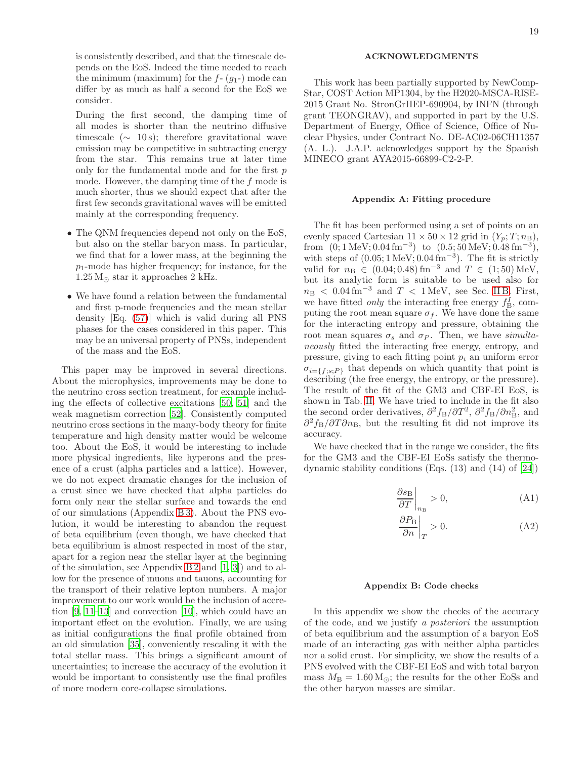is consistently described, and that the timescale depends on the EoS. Indeed the time needed to reach the minimum (maximum) for the  $f - (g_1)$  mode can differ by as much as half a second for the EoS we consider.

During the first second, the damping time of all modes is shorter than the neutrino diffusive timescale  $(\sim 10 \,\mathrm{s})$ ; therefore gravitational wave emission may be competitive in subtracting energy from the star. This remains true at later time only for the fundamental mode and for the first  $p$ mode. However, the damping time of the f mode is much shorter, thus we should expect that after the first few seconds gravitational waves will be emitted mainly at the corresponding frequency.

- The QNM frequencies depend not only on the EoS, but also on the stellar baryon mass. In particular, we find that for a lower mass, at the beginning the  $p_1$ -mode has higher frequency; for instance, for the  $1.25 M_{\odot}$  star it approaches 2 kHz.
- We have found a relation between the fundamental and first p-mode frequencies and the mean stellar density [Eq. [\(57\)](#page-16-1)] which is valid during all PNS phases for the cases considered in this paper. This may be an universal property of PNSs, independent of the mass and the EoS.

This paper may be improved in several directions. About the microphysics, improvements may be done to the neutrino cross section treatment, for example including the effects of collective excitations [\[50,](#page-23-14) [51\]](#page-23-15) and the weak magnetism correction [\[52\]](#page-24-0). Consistently computed neutrino cross sections in the many-body theory for finite temperature and high density matter would be welcome too. About the EoS, it would be interesting to include more physical ingredients, like hyperons and the presence of a crust (alpha particles and a lattice). However, we do not expect dramatic changes for the inclusion of a crust since we have checked that alpha particles do form only near the stellar surface and towards the end of our simulations (Appendix [B 3\)](#page-20-0). About the PNS evolution, it would be interesting to abandon the request of beta equilibrium (even though, we have checked that beta equilibrium is almost respected in most of the star, apart for a region near the stellar layer at the beginning of the simulation, see Appendix  $B2$  and  $[1, 3]$  $[1, 3]$  and to allow for the presence of muons and tauons, accounting for the transport of their relative lepton numbers. A major improvement to our work would be the inclusion of accretion [\[9](#page-21-8), [11](#page-21-22)[–13\]](#page-21-9) and convection [\[10](#page-21-21)], which could have an important effect on the evolution. Finally, we are using as initial configurations the final profile obtained from an old simulation [\[35\]](#page-22-9), conveniently rescaling it with the total stellar mass. This brings a significant amount of uncertainties; to increase the accuracy of the evolution it would be important to consistently use the final profiles of more modern core-collapse simulations.

### ACKNOWLEDGMENTS

This work has been partially supported by NewComp-Star, COST Action MP1304, by the H2020-MSCA-RISE-2015 Grant No. StronGrHEP-690904, by INFN (through grant TEONGRAV), and supported in part by the U.S. Department of Energy, Office of Science, Office of Nuclear Physics, under Contract No. DE-AC02-06CH11357 (A. L.). J.A.P. acknowledges support by the Spanish MINECO grant AYA2015-66899-C2-2-P.

## <span id="page-18-0"></span>Appendix A: Fitting procedure

The fit has been performed using a set of points on an evenly spaced Cartesian  $11 \times 50 \times 12$  grid in  $(Y_p; T; n_B)$ , from  $(0; 1 \text{ MeV}; 0.04 \text{ fm}^{-3})$  to  $(0.5; 50 \text{ MeV}; 0.48 \text{ fm}^{-3}),$ with steps of  $(0.05; 1 \,\mathrm{MeV}; 0.04 \,\mathrm{fm}^{-3})$ . The fit is strictly valid for  $n_B \text{ ∈ } (0.04; 0.48) \text{ fm}^{-3}$  and  $T \text{ ∈ } (1; 50) \text{ MeV}$ , but its analytic form is suitable to be used also for  $n_{\rm B}$  < 0.04 fm<sup>-3</sup> and T < 1 MeV, see Sec. [II B.](#page-2-4) First, we have fitted *only* the interacting free energy  $f_{\text{B}}^{I}$ , computing the root mean square  $\sigma_f$ . We have done the same for the interacting entropy and pressure, obtaining the root mean squares  $\sigma_s$  and  $\sigma_P$ . Then, we have simultaneously fitted the interacting free energy, entropy, and pressure, giving to each fitting point  $p_i$  an uniform error  $\sigma_{i=\{f;s;P\}}$  that depends on which quantity that point is describing (the free energy, the entropy, or the pressure). The result of the fit of the GM3 and CBF-EI EoS, is shown in Tab. [II.](#page-19-1) We have tried to include in the fit also the second order derivatives,  $\partial^2 f_B / \partial T^2$ ,  $\partial^2 f_B / \partial n_B^2$ , and  $\partial^2 f_{\rm B}/\partial T \partial n_{\rm B}$ , but the resulting fit did not improve its accuracy.

We have checked that in the range we consider, the fits for the GM3 and the CBF-EI EoSs satisfy the thermodynamic stability conditions (Eqs. (13) and (14) of [\[24\]](#page-22-0))

$$
\left. \frac{\partial s_{\rm B}}{\partial T} \right|_{n_{\rm B}} > 0,\tag{A1}
$$

$$
\left. \frac{\partial P_{\rm B}}{\partial n} \right|_{T} > 0. \tag{A2}
$$

## <span id="page-18-1"></span>Appendix B: Code checks

In this appendix we show the checks of the accuracy of the code, and we justify a posteriori the assumption of beta equilibrium and the assumption of a baryon EoS made of an interacting gas with neither alpha particles nor a solid crust. For simplicity, we show the results of a PNS evolved with the CBF-EI EoS and with total baryon mass  $M_{\rm B} = 1.60 \,\rm M_{\odot}$ ; the results for the other EoSs and the other baryon masses are similar.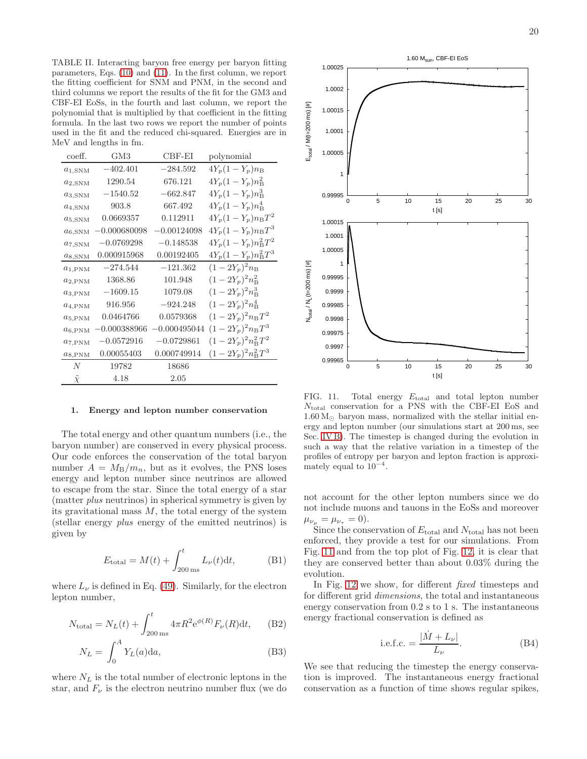<span id="page-19-1"></span>TABLE II. Interacting baryon free energy per baryon fitting parameters, Eqs. [\(10\)](#page-2-2) and [\(11\)](#page-2-3). In the first column, we report the fitting coefficient for SNM and PNM, in the second and third columns we report the results of the fit for the GM3 and CBF-EI EoSs, in the fourth and last column, we report the polynomial that is multiplied by that coefficient in the fitting formula. In the last two rows we report the number of points used in the fit and the reduced chi-squared. Energies are in MeV and lengths in fm.

| coeff.              | GM3          | CBF-EI        | polynomial                  |
|---------------------|--------------|---------------|-----------------------------|
| $a_{1,\text{SNM}}$  | $-402.401$   | $-284.592$    | $4Y_p(1-Y_p)n_B$            |
| $a_{2, \text{SNM}}$ | 1290.54      | 676.121       | $4Y_p(1-Y_p)n_{\rm B}^2$    |
| $a_{3, \text{SNM}}$ | $-1540.52$   | $-662.847$    | $4Y_p(1-Y_p)n_{\rm B}^3$    |
| $a_{4, \text{SNM}}$ | 903.8        | 667.492       | $4Y_p(1-Y_p)n_{\rm B}^4$    |
| $a_{5, \text{SNM}}$ | 0.0669357    | 0.112911      | $4Y_p(1-Y_p)n_B T^2$        |
| $a_{6, \text{SNM}}$ | 0.000680098  | $-0.00124098$ | $4Y_p(1-Y_p)n_B T^3$        |
| $a_{7, \text{SNM}}$ | $-0.0769298$ | $-0.148538$   | $4Y_p(1-Y_p)n_{\rm B}^2T^2$ |
| $a_{8, \text{SNM}}$ | 0.000915968  | 0.00192405    | $4Y_p(1-Y_p)n_{\rm B}^2T^3$ |
| $a_{1, \text{PNM}}$ | $-274.544$   | $-121.362$    | $(1-2Y_p)^2 n_{\rm B}$      |
| $a_{2, \text{PNM}}$ | 1368.86      | 101.948       | $(1-2Y_p)^2n_{\rm B}^2$     |
| $a_{3, \text{PNM}}$ | $-1609.15$   | 1079.08       | $(1-2Y_p)^2 n_{\rm B}^3$    |
| $a_{4, \text{PNM}}$ | 916.956      | $-924.248$    | $(1-2Y_p)^2 n_{\rm B}^4$    |
| $a_{5, \text{PNM}}$ | 0.0464766    | 0.0579368     | $(1-2Y_p)^2 n_{\rm B}T^2$   |
| $a_{6, \text{PNM}}$ | 0.000388966  | 0.000495044   | $(1-2Y_p)^2 n_{\rm B} T^3$  |
| $a_{7,\text{PNM}}$  | $-0.0572916$ | $-0.0729861$  | $(1-2Y_p)^2n_{\rm B}^2T^2$  |
| $a_{8, \text{PNM}}$ | 0.00055403   | 0.000749914   | $(1-2Y_p)^2n_{\rm B}^2T^3$  |
| N                   | 19782        | 18686         |                             |
| $\tilde{\chi}$      | 4.18         | 2.05          |                             |

### <span id="page-19-0"></span>1. Energy and lepton number conservation

The total energy and other quantum numbers (i.e., the baryon number) are conserved in every physical process. Our code enforces the conservation of the total baryon number  $A = M_B/m_n$ , but as it evolves, the PNS loses energy and lepton number since neutrinos are allowed to escape from the star. Since the total energy of a star (matter plus neutrinos) in spherical symmetry is given by its gravitational mass  $M$ , the total energy of the system (stellar energy plus energy of the emitted neutrinos) is given by

$$
E_{\text{total}} = M(t) + \int_{200 \text{ ms}}^{t} L_{\nu}(t) dt, \tag{B1}
$$

where  $L_{\nu}$  is defined in Eq. [\(49\)](#page-13-0). Similarly, for the electron lepton number,

$$
N_{\text{total}} = N_L(t) + \int_{200 \text{ ms}}^t 4\pi R^2 e^{\phi(R)} F_{\nu}(R) dt, \quad (B2)
$$

$$
N_L = \int_0^A Y_L(a) \mathrm{d}a,\tag{B3}
$$

where  $N_L$  is the total number of electronic leptons in the star, and  $F_{\nu}$  is the electron neutrino number flux (we do

![](_page_19_Figure_10.jpeg)

<span id="page-19-2"></span>FIG. 11. Total energy  $E_{total}$  and total lepton number Ntotal conservation for a PNS with the CBF-EI EoS and  $1.60 M_{\odot}$  baryon mass, normalized with the stellar initial energy and lepton number (our simulations start at 200 ms, see Sec. [IV B\)](#page-9-2). The timestep is changed during the evolution in such a way that the relative variation in a timestep of the profiles of entropy per baryon and lepton fraction is approximately equal to  $10^{-4}$ .

not account for the other lepton numbers since we do not include muons and tauons in the EoSs and moreover  $\mu_{\nu_{\mu}} = \mu_{\nu_{\tau}} = 0$ .

Since the conservation of  $E_{total}$  and  $N_{total}$  has not been enforced, they provide a test for our simulations. From Fig. [11](#page-19-2) and from the top plot of Fig. [12,](#page-20-2) it is clear that they are conserved better than about 0.03% during the evolution.

In Fig. [12](#page-20-2) we show, for different fixed timesteps and for different grid dimensions, the total and instantaneous energy conservation from 0.2 s to 1 s. The instantaneous energy fractional conservation is defined as

i.e.f.c. = 
$$
\frac{|\dot{M} + L_{\nu}|}{L_{\nu}}
$$
. (B4)

We see that reducing the timestep the energy conservation is improved. The instantaneous energy fractional conservation as a function of time shows regular spikes,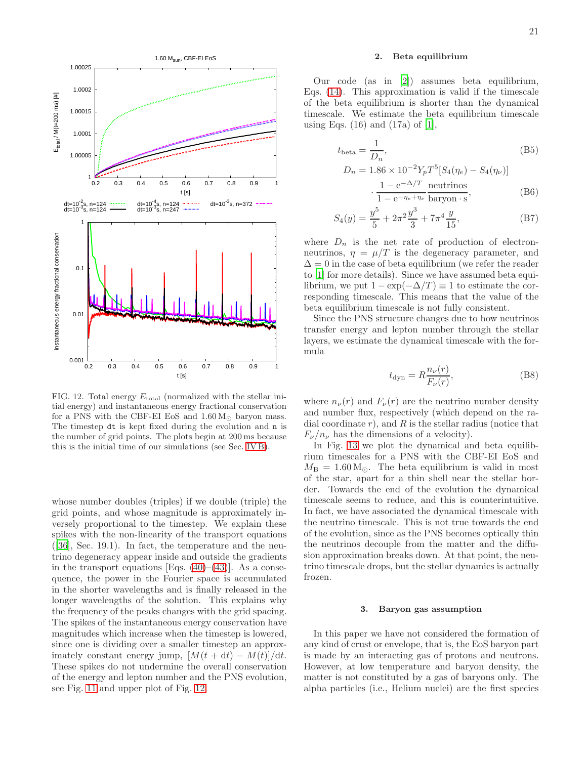![](_page_20_Figure_0.jpeg)

<span id="page-20-2"></span>FIG. 12. Total energy  $E_{total}$  (normalized with the stellar initial energy) and instantaneous energy fractional conservation for a PNS with the CBF-EI EoS and  $1.60 M_{\odot}$  baryon mass. The timestep dt is kept fixed during the evolution and n is the number of grid points. The plots begin at 200 ms because this is the initial time of our simulations (see Sec. [IV B\)](#page-9-2).

whose number doubles (triples) if we double (triple) the grid points, and whose magnitude is approximately inversely proportional to the timestep. We explain these spikes with the non-linearity of the transport equations  $(36)$ , Sec. 19.1). In fact, the temperature and the neutrino degeneracy appear inside and outside the gradients in the transport equations [Eqs.  $(40)$ – $(43)$ ]. As a consequence, the power in the Fourier space is accumulated in the shorter wavelengths and is finally released in the longer wavelengths of the solution. This explains why the frequency of the peaks changes with the grid spacing. The spikes of the instantaneous energy conservation have magnitudes which increase when the timestep is lowered, since one is dividing over a smaller timestep an approximately constant energy jump,  $[M(t + dt) - M(t)]/dt$ . These spikes do not undermine the overall conservation of the energy and lepton number and the PNS evolution, see Fig. [11](#page-19-2) and upper plot of Fig. [12.](#page-20-2)

### <span id="page-20-1"></span>2. Beta equilibrium

Our code (as in [\[2\]](#page-21-7)) assumes beta equilibrium, Eqs. [\(14\)](#page-3-3). This approximation is valid if the timescale of the beta equilibrium is shorter than the dynamical timescale. We estimate the beta equilibrium timescale using Eqs.  $(16)$  and  $(17a)$  of  $[1]$ ,

$$
t_{\text{beta}} = \frac{1}{D_n},
$$
\n
$$
D_{n-1.86 \times 10^{-2} Y} T^{5} [S_{\nu}(n) - S_{\nu}(n)]
$$
\n(B5)

$$
D_n = 1.86 \times 10^{-2} Y_p T^5 [S_4(\eta_e) - S_4(\eta_\nu)]
$$

$$
\frac{1 - e^{-\Delta/T}}{n \text{eutrinos}} \qquad (B6)
$$

$$
\frac{1 - e^{-\eta_e + \eta_\nu}}{1 - e^{-\eta_e + \eta_\nu}} \frac{\text{maximum}}{\text{baryon} \cdot \text{s}},\tag{B6}
$$

$$
S_4(y) = \frac{y^5}{5} + 2\pi^2 \frac{y^3}{3} + 7\pi^4 \frac{y}{15},
$$
 (B7)

where  $D_n$  is the net rate of production of electronneutrinos,  $\eta = \mu/T$  is the degeneracy parameter, and  $\Delta = 0$  in the case of beta equilibrium (we refer the reader to [\[1](#page-21-0)] for more details). Since we have assumed beta equilibrium, we put  $1 - \exp(-\Delta/T) \equiv 1$  to estimate the corresponding timescale. This means that the value of the beta equilibrium timescale is not fully consistent.

Since the PNS structure changes due to how neutrinos transfer energy and lepton number through the stellar layers, we estimate the dynamical timescale with the formula

$$
t_{\rm dyn} = R \frac{n_{\nu}(r)}{F_{\nu}(r)},
$$
\n(B8)

where  $n_{\nu}(r)$  and  $F_{\nu}(r)$  are the neutrino number density and number flux, respectively (which depend on the radial coordinate  $r$ ), and  $R$  is the stellar radius (notice that  $F_{\nu}/n_{\nu}$  has the dimensions of a velocity).

In Fig. [13](#page-21-23) we plot the dynamical and beta equilibrium timescales for a PNS with the CBF-EI EoS and  $M_{\rm B} = 1.60 \,\rm M_{\odot}$ . The beta equilibrium is valid in most of the star, apart for a thin shell near the stellar border. Towards the end of the evolution the dynamical timescale seems to reduce, and this is counterintuitive. In fact, we have associated the dynamical timescale with the neutrino timescale. This is not true towards the end of the evolution, since as the PNS becomes optically thin the neutrinos decouple from the matter and the diffusion approximation breaks down. At that point, the neutrino timescale drops, but the stellar dynamics is actually frozen.

#### <span id="page-20-0"></span>3. Baryon gas assumption

In this paper we have not considered the formation of any kind of crust or envelope, that is, the EoS baryon part is made by an interacting gas of protons and neutrons. However, at low temperature and baryon density, the matter is not constituted by a gas of baryons only. The alpha particles (i.e., Helium nuclei) are the first species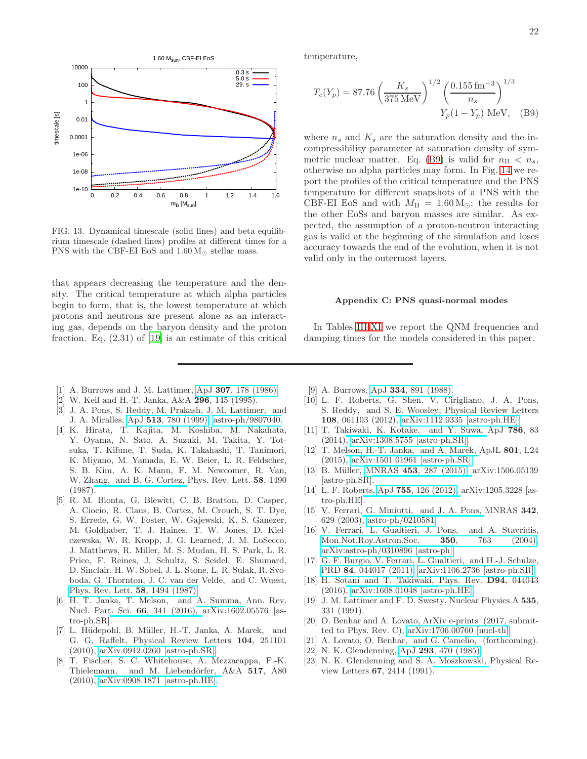![](_page_21_Figure_1.jpeg)

<span id="page-21-23"></span>FIG. 13. Dynamical timescale (solid lines) and beta equilibrium timescale (dashed lines) profiles at different times for a PNS with the CBF-EI EoS and  $1.60 M_{\odot}$  stellar mass.

that appears decreasing the temperature and the density. The critical temperature at which alpha particles begin to form, that is, the lowest temperature at which protons and neutrons are present alone as an interacting gas, depends on the baryon density and the proton fraction. Eq. (2.31) of [\[19](#page-21-15)] is an estimate of this critical

temperature,

<span id="page-21-24"></span>
$$
T_c(Y_p) = 87.76 \left(\frac{K_s}{375 \text{ MeV}}\right)^{1/2} \left(\frac{0.155 \text{ fm}^{-3}}{n_s}\right)^{1/3}
$$

$$
Y_p(1 - Y_p) \text{ MeV}, \quad (B9)
$$

where  $n_s$  and  $K_s$  are the saturation density and the incompressibility parameter at saturation density of sym-metric nuclear matter. Eq. [\(B9\)](#page-21-24) is valid for  $n_{\rm B} < n_s$ , otherwise no alpha particles may form. In Fig. [14](#page-22-10) we report the profiles of the critical temperature and the PNS temperature for different snapshots of a PNS with the CBF-EI EoS and with  $M_{\rm B} = 1.60 \,\rm M_{\odot}$ ; the results for the other EoSs and baryon masses are similar. As expected, the assumption of a proton-neutron interacting gas is valid at the beginning of the simulation and loses accuracy towards the end of the evolution, when it is not valid only in the outermost layers.

## <span id="page-21-18"></span>Appendix C: PNS quasi-normal modes

In Tables [III](#page-22-11)[-XI](#page-24-1) we report the QNM frequencies and damping times for the models considered in this paper.

- <span id="page-21-0"></span>[1] A. Burrows and J. M. Lattimer, ApJ 307[, 178 \(1986\).](http://dx.doi.org/10.1086/164405)
- <span id="page-21-7"></span>[2] W. Keil and H.-T. Janka, A&A 296, 145 (1995).
- <span id="page-21-1"></span>[3] J. A. Pons, S. Reddy, M. Prakash, J. M. Lattimer, and J. A. Miralles, ApJ 513[, 780 \(1999\),](http://dx.doi.org/10.1086/306889) [astro-ph/9807040.](http://arxiv.org/abs/astro-ph/9807040)
- <span id="page-21-2"></span>[4] K. Hirata, T. Kajita, M. Koshiba, M. Nakahata, Y. Oyama, N. Sato, A. Suzuki, M. Takita, Y. Totsuka, T. Kifune, T. Suda, K. Takahashi, T. Tanimori, K. Miyano, M. Yamada, E. W. Beier, L. R. Feldscher, S. B. Kim, A. K. Mann, F. M. Newcomer, R. Van, W. Zhang, and B. G. Cortez, Phys. Rev. Lett. 58, 1490 (1987).
- <span id="page-21-3"></span>[5] R. M. Bionta, G. Blewitt, C. B. Bratton, D. Casper, A. Ciocio, R. Claus, B. Cortez, M. Crouch, S. T. Dye, S. Errede, G. W. Foster, W. Gajewski, K. S. Ganezer, M. Goldhaber, T. J. Haines, T. W. Jones, D. Kielczewska, W. R. Kropp, J. G. Learned, J. M. LoSecco, J. Matthews, R. Miller, M. S. Mudan, H. S. Park, L. R. Price, F. Reines, J. Schultz, S. Seidel, E. Shumard, D. Sinclair, H. W. Sobel, J. L. Stone, L. R. Sulak, R. Svoboda, G. Thornton, J. C. van der Velde, and C. Wuest, [Phys. Rev. Lett.](http://dx.doi.org/ 10.1103/PhysRevLett.58.1494) 58, 1494 (1987).
- <span id="page-21-4"></span>[6] H. T. Janka, T. Melson, and A. Summa, Ann. Rev. Nucl. Part. Sci. 66, 341 (2016), arXiv:1602.05576 [astro-ph.SR].
- <span id="page-21-5"></span>[7] L. Hüdepohl, B. Müller, H.-T. Janka, A. Marek, and G. G. Raffelt, Physical Review Letters 104, 251101 (2010), [arXiv:0912.0260 \[astro-ph.SR\].](http://arxiv.org/abs/0912.0260)
- <span id="page-21-6"></span>[8] T. Fischer, S. C. Whitehouse, A. Mezzacappa, F.-K. Thielemann, and M. Liebendörfer, A&A 517, A80 (2010), [arXiv:0908.1871 \[astro-ph.HE\].](http://arxiv.org/abs/0908.1871)
- <span id="page-21-8"></span>[9] A. Burrows, ApJ 334[, 891 \(1988\).](http://dx.doi.org/10.1086/166885)
- <span id="page-21-21"></span>[10] L. F. Roberts, G. Shen, V. Cirigliano, J. A. Pons, S. Reddy, and S. E. Woosley, Physical Review Letters 108, 061103 (2012), [arXiv:1112.0335 \[astro-ph.HE\].](http://arxiv.org/abs/1112.0335)
- <span id="page-21-22"></span>[11] T. Takiwaki, K. Kotake, and Y. Suwa, ApJ 786, 83 (2014), [arXiv:1308.5755 \[astro-ph.SR\].](http://arxiv.org/abs/1308.5755)
- [12] T. Melson, H.-T. Janka, and A. Marek, ApJL 801, L24 (2015), [arXiv:1501.01961 \[astro-ph.SR\].](http://arxiv.org/abs/1501.01961)
- <span id="page-21-9"></span>[13] B. Müller, MNRAS 453[, 287 \(2015\),](http://dx.doi.org/10.1093/mnras/stv1611) arXiv:1506.05139 [astro-ph.SR].
- <span id="page-21-10"></span>[14] L. F. Roberts, ApJ 755[, 126 \(2012\),](http://dx.doi.org/10.1088/0004-637X/755/2/126) arXiv:1205.3228 [astro-ph.HE].
- <span id="page-21-11"></span>[15] V. Ferrari, G. Miniutti, and J. A. Pons, MNRAS 342, 629 (2003), [astro-ph/0210581.](http://arxiv.org/abs/astro-ph/0210581)
- <span id="page-21-12"></span>[16] V. Ferrari, L. Gualtieri, J. Pons, and A. Stavridis, [Mon.Not.Roy.Astron.Soc.](http://dx.doi.org/ 10.1111/j.1365-2966.2004.07698.x) **350**, 763 (2004), [arXiv:astro-ph/0310896 \[astro-ph\].](http://arxiv.org/abs/astro-ph/0310896)
- <span id="page-21-13"></span>[17] G. F. Burgio, V. Ferrari, L. Gualtieri, and H.-J. Schulze, PRD 84[, 044017 \(2011\),](http://dx.doi.org/10.1103/PhysRevD.84.044017) [arXiv:1106.2736 \[astro-ph.SR\].](http://arxiv.org/abs/1106.2736)
- <span id="page-21-14"></span>[18] H. So[tani and T. Takiwaki,](http://dx.doi.org/10.1103/PhysRevD.94.044043) Phys. Rev. D94, 044043 (2016), [arXiv:1608.01048 \[astro-ph.HE\].](http://arxiv.org/abs/1608.01048)
- <span id="page-21-15"></span>[19] J. M. Lattimer and F. D. Swesty, Nuclear Physics A 535, 331 (1991).
- <span id="page-21-16"></span>[20] O. Benhar and A. Lovato, ArXiv e-prints (2017, submitted to Phys. Rev. C), [arXiv:1706.00760 \[nucl-th\].](http://arxiv.org/abs/1706.00760)
- <span id="page-21-17"></span>[21] A. Lovato, O. Benhar, and G. Camelio, (forthcoming).
- <span id="page-21-19"></span>[22] N. K. Glendenning, ApJ 293[, 470 \(1985\).](http://dx.doi.org/10.1086/163253)
- <span id="page-21-20"></span>[23] N. K. Glendenning and S. A. Moszkowski, Physical Review Letters 67, 2414 (1991).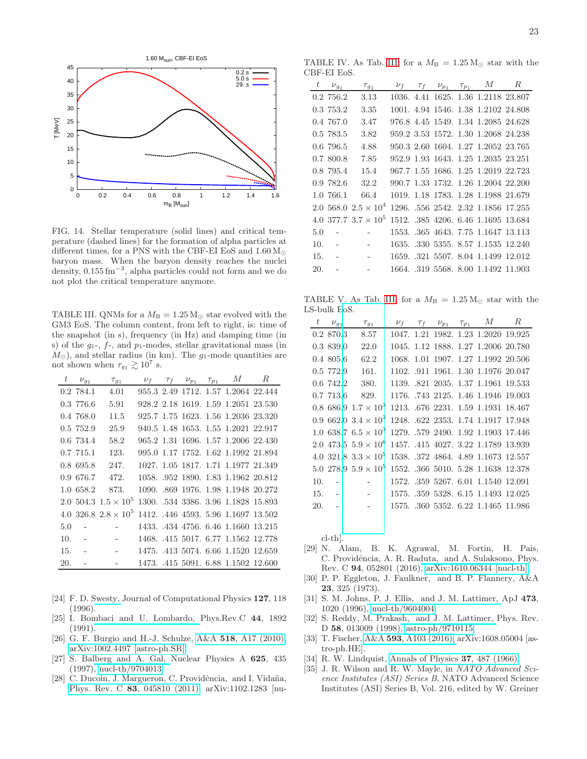![](_page_22_Figure_1.jpeg)

<span id="page-22-10"></span>FIG. 14. Stellar temperature (solid lines) and critical temperature (dashed lines) for the formation of alpha particles at different times, for a PNS with the CBF-EI EoS and  $1.60 M_{\odot}$ baryon mass. When the baryon density reaches the nuclei density, 0.155 fm<sup>−</sup><sup>3</sup> , alpha particles could not form and we do not plot the critical temperature anymore.

<span id="page-22-11"></span>TABLE III. QNMs for a  $M<sub>B</sub> = 1.25 M<sub>o</sub>$  star evolved with the GM3 EoS. The column content, from left to right, is: time of the snapshot (in s), frequency (in Hz) and damping time (in s) of the  $g_1$ -,  $f$ -, and  $p_1$ -modes, stellar gravitational mass (in  $M_{\odot}$ ), and stellar radius (in km). The  $g_1$ -mode quantities are not shown when  $\tau_{g_1} \gtrsim 10^7$  s.

| t   | $\nu_{g_1}$              | $\tau_{g_1}$                | $\nu_f$ | $\tau_f$ $\nu_{p_1}$ | $\tau_{p_1}$ | M                                   | $_{R}$ |
|-----|--------------------------|-----------------------------|---------|----------------------|--------------|-------------------------------------|--------|
|     | 0.2 784.1                | 4.01                        |         |                      |              | 955.3 2.49 1712. 1.57 1.2064 22.444 |        |
|     | 0.3 776.6                | 5.91                        |         |                      |              | 928.2 2.18 1619. 1.59 1.2051 23.530 |        |
|     | 0.4 768.0                | 11.5                        |         |                      |              | 925.7 1.75 1623, 1.56 1.2036 23.320 |        |
|     | 0.5 752.9                | 25.9                        |         |                      |              | 940.5 1.48 1653. 1.55 1.2021 22.917 |        |
|     | 0.6 734.4                | 58.2                        |         |                      |              | 965.2 1.31 1696, 1.57 1.2006 22.430 |        |
|     | 0.7 715.1                | 123.                        |         |                      |              | 995.0 1.17 1752, 1.62 1.1992 21.894 |        |
|     | 0.8 695.8                | 247.                        |         |                      |              | 1027, 1.05 1817, 1.71 1.1977 21.349 |        |
|     | 0.9 676.7                | 472.                        |         |                      |              | 1058, .952 1890, 1.83 1.1962 20.812 |        |
|     | 1.0 658.2                | 873.                        |         |                      |              | 1090. .869 1976. 1.98 1.1948 20.272 |        |
|     |                          | 2.0 504.3 $1.5 \times 10^5$ |         |                      |              | 1300. 534 3386. 3.96 1.1828 15.893  |        |
|     |                          | 4.0 326.8 $2.8 \times 10^5$ |         |                      |              | 1412. 446 4593. 5.96 1.1697 13.502  |        |
| 5.0 |                          |                             |         |                      |              | 1433. 434 4756. 6.46 1.1660 13.215  |        |
| 10. |                          |                             |         |                      |              | 1468, 415 5017, 6.77 1.1562 12.778  |        |
| 15. | $\overline{\phantom{a}}$ |                             |         |                      |              | 1475, .413 5074, 6.66 1.1520 12.659 |        |
| 20. |                          |                             |         |                      |              | 1473. .415 5091. 6.88 1.1502 12.600 |        |

- <span id="page-22-0"></span>[24] F. D. Swesty, Journal of Computational Physics 127, 118 (1996).
- <span id="page-22-1"></span>[25] I. Bombaci and U. Lombardo, Phys.Rev.C 44, 1892 (1991).
- <span id="page-22-2"></span>[26] G. F. Burgio and H.-J. Schulze, A&A 518[, A17 \(2010\),](http://dx.doi.org/10.1051/0004-6361/201014308) [arXiv:1002.4497 \[astro-ph.SR\].](http://arxiv.org/abs/1002.4497)
- [27] S. Balberg and A. Gal, Nuclear Physics A 625, 435 (1997), [nucl-th/9704013.](http://arxiv.org/abs/nucl-th/9704013)
- [28] C. Ducoin, J. Margueron, C. Providência, and I. Vidaña, Phys. Rev. C 83[, 045810 \(2011\),](http://dx.doi.org/ 10.1103/PhysRevC.83.045810) arXiv:1102.1283 [nu-

TABLE IV. As Tab. [III,](#page-22-11) for a  $M_{\rm B} = 1.25 \,\rm M_{\odot}$  star with the CBF-EI EoS.

|     | $\nu_{g_1}$ | $\tau_{g_1}$                | $\tau_f$ | $\nu_{p_1}$ $\tau_{p_1}$ | М                                   | R |
|-----|-------------|-----------------------------|----------|--------------------------|-------------------------------------|---|
|     | 0.2 756.2   | 3.13                        |          |                          | 1036. 4.41 1625. 1.36 1.2118 23.807 |   |
|     | 0.3 753.2   | 3.35                        |          |                          | 1001, 4.94 1546, 1.38 1.2102 24.808 |   |
|     | 0.4 767.0   | 3.47                        |          |                          | 976.8 4.45 1549. 1.34 1.2085 24.628 |   |
|     | 0.5 783.5   | 3.82                        |          |                          | 959.2 3.53 1572, 1.30 1.2068 24.238 |   |
|     | 0.6 796.5   | 4.88                        |          |                          | 950.3 2.60 1604, 1.27 1.2052 23.765 |   |
|     | 0.7 800.8   | 7.85                        |          |                          | 952.9 1.93 1643. 1.25 1.2035 23.251 |   |
|     | 0.8 795.4   | 15.4                        |          |                          | 967.7 1.55 1686, 1.25 1.2019 22.723 |   |
|     | 0.9 782.6   | 32.2                        |          |                          | 990.7 1.33 1732, 1.26 1.2004 22.200 |   |
|     | 1.0 766.1   | 66.4                        |          |                          | 1019, 1.18 1783, 1.28 1.1988 21.679 |   |
|     |             | 2.0 568.0 $2.5 \times 10^4$ |          |                          | 1296. .556 2542. 2.32 1.1856 17.255 |   |
|     |             | 4.0 377.7 $3.7 \times 10^5$ |          |                          | 1512, 385 4206, 6.46 1.1695 13.684  |   |
| 5.0 |             |                             |          |                          | 1553. .365 4643. 7.75 1.1647 13.113 |   |
| 10. |             |                             |          |                          | 1635, 330 5355, 8.57 1.1535 12.240  |   |
| 15. |             |                             |          |                          | 1659. .321 5507. 8.04 1.1499 12.012 |   |
| 20. |             |                             |          |                          | 1664. .319 5568. 8.00 1.1492 11.903 |   |

TABLE V. As Tab. [III,](#page-22-11) for a  $M_{\rm B} = 1.25 \,\rm M_{\odot}$  star with the LS-bulk EoS.

| t   | $\nu_{g_1}$ | $\tau_{q_1}$                                                      | $\tau_f$ | $\nu_{p_1}$ $\tau_{p_1}$ | $M$ R                               |  |
|-----|-------------|-------------------------------------------------------------------|----------|--------------------------|-------------------------------------|--|
|     | 0.2 870.3   | 8.57                                                              |          |                          | 1047. 1.21 1982. 1.23 1.2020 19.925 |  |
|     | 0.3839.0    | 22.0                                                              |          |                          | 1045, 1.12 1888, 1.27 1.2006 20.780 |  |
|     | 0.4 805.6   | 62.2                                                              |          |                          | 1068, 1.01 1907, 1.27 1.1992 20.506 |  |
|     | 0.5 772.9   | 161.                                                              |          |                          | 1102, .911 1961, 1.30 1.1976 20.047 |  |
|     | 0.6 742.2   | - 380.                                                            |          |                          | 1139. 821 2035. 1.37 1.1961 19.533  |  |
|     | 0.7 713.6   | 829.                                                              |          |                          | 1176. 743 2125. 1.46 1.1946 19.003  |  |
|     |             | 0.8 686.9 $1.7 \times 10^3$                                       |          |                          | 1213. 676 2231. 1.59 1.1931 18.467  |  |
|     |             | $0.9\,662.0\,3.4\times10^3\,1248.$ 622 2353, 1.74 1.1917 17.948   |          |                          |                                     |  |
|     |             | 1.0 638.7 $6.5 \times 10^3$ 1279. .579 2490. 1.92 1.1903 17.446   |          |                          |                                     |  |
|     |             | $2.0$ 473.5 $5.9 \times 10^6$ 1457, .415 4027, 3.22 1.1789 13.939 |          |                          |                                     |  |
|     |             | 4.0 $321.8$ $3.3 \times 10^5$ 1538. 372 4864. 4.89 1.1673 12.557  |          |                          |                                     |  |
|     |             | 5.0 $278.9$ $5.9 \times 10^5$ 1552. 366 5010. 5.28 1.1638 12.378  |          |                          |                                     |  |
| 10. |             |                                                                   |          |                          | 1572. 359 5267. 6.01 1.1540 12.091  |  |
| 15. |             |                                                                   |          |                          | 1575, 359 5328, 6.15 1.1493 12.025  |  |
| 20. |             |                                                                   |          |                          | 1575, .360 5352, 6.22 1.1465 11.986 |  |

cl-th].

- <span id="page-22-3"></span>[29] N. Alam, B. K. Agrawal, M. Fortin, H. Pais, C. Providência, A. R. Raduta, and A. Sulaksono, Phys. Rev. C 94, 052801 (2016), [arXiv:1610.06344 \[nucl-th\].](http://arxiv.org/abs/1610.06344)
- <span id="page-22-4"></span>[30] P. P. Eggleton, J. Faulkner, and B. P. Flannery, A&A 23, 325 (1973).
- <span id="page-22-5"></span>[31] S. M. Johns, P. J. Ellis, and J. M. Lattimer, ApJ 473, 1020 (1996), [nucl-th/9604004.](http://arxiv.org/abs/nucl-th/9604004)
- <span id="page-22-6"></span>[32] S. Reddy, M. Prakash, and J. M. Lattimer, Phys. Rev. D 58, 013009 (1998), [astro-ph/9710115.](http://arxiv.org/abs/astro-ph/9710115)
- <span id="page-22-7"></span>[33] T. Fischer, A&A 593[, A103 \(2016\),](http://dx.doi.org/10.1051/0004-6361/201628991) arXiv:1608.05004 [astro-ph.HE][.](http://arxiv.org/abs/1608.05004)
- <span id="page-22-8"></span>[34] R. W. Lindquist, [Annals of Physics](http://dx.doi.org/10.1016/0003-4916(66)90207-7) **37**, 487 (1966).
- <span id="page-22-9"></span>[35] J. R. Wilson and R. W. Mayle, in *NATO Advanced Science Institutes (ASI) Series B*, NATO Advanced Science Institutes (ASI) Series B, Vol. 216, edited by W. Greiner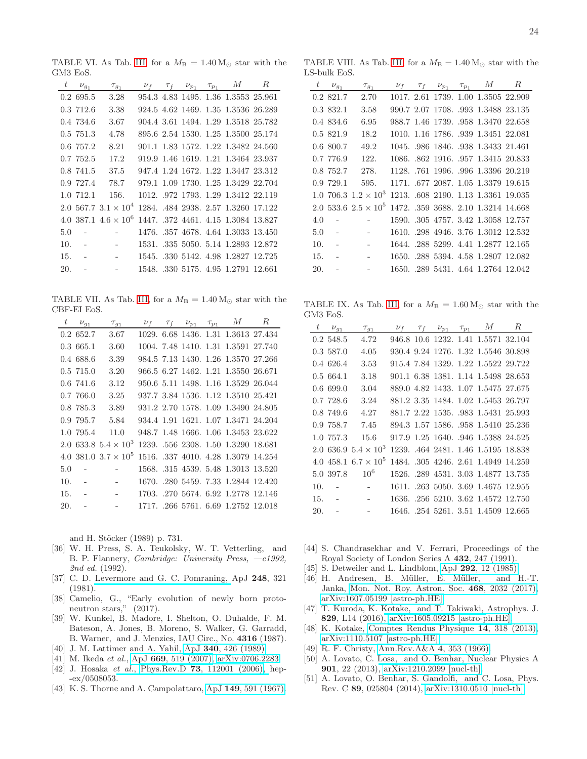TABLE VI. As Tab. [III,](#page-22-11) for a  $M_{\rm B} = 1.40 \,\rm M_{\odot}$  star with the GM3 EoS.

| t   | $\nu_{g_1}$ | $\tau_{g_1}$                           | $\nu_f$ | $\tau_f$ $\nu_{p_1}$ $\tau_{p_1}$ | М                                   | $_{R}$ |
|-----|-------------|----------------------------------------|---------|-----------------------------------|-------------------------------------|--------|
|     | 0.2 695.5   | 3.28                                   |         |                                   | 954.3 4.83 1495, 1.36 1.3553 25.961 |        |
|     | 0.3 712.6   | 3.38                                   |         |                                   | 924.5 4.62 1469. 1.35 1.3536 26.289 |        |
|     | 0.4 734.6   | 3.67                                   |         |                                   | 904.4 3.61 1494, 1.29 1.3518 25.782 |        |
|     | 0.5 751.3   | 4.78                                   |         |                                   | 895.6 2.54 1530, 1.25 1.3500 25.174 |        |
|     | 0.6 757.2   | 8.21                                   |         |                                   | 901.1 1.83 1572. 1.22 1.3482 24.560 |        |
|     | 0.7 752.5   | 17.2                                   |         |                                   | 919.9 1.46 1619. 1.21 1.3464 23.937 |        |
|     | 0.8 741.5   | 37.5                                   |         |                                   | 947.4 1.24 1672, 1.22 1.3447 23.312 |        |
|     | 0.9 727.4   | 78.7                                   |         |                                   | 979.1 1.09 1730, 1.25 1.3429 22.704 |        |
|     | 1.0 712.1   | 156.                                   |         |                                   | 1012. .972 1793. 1.29 1.3412 22.119 |        |
|     |             | 2.0 567.7 3.1 $\times$ 10 <sup>4</sup> |         |                                   | 1284. 484 2938. 2.57 1.3260 17.122  |        |
|     |             | 4.0 387.1 $4.6 \times 10^6$            |         |                                   | 1447. 372 4461. 4.15 1.3084 13.827  |        |
| 5.0 |             |                                        |         |                                   | 1476. 357 4678. 4.64 1.3033 13.450  |        |
| 10. |             |                                        |         |                                   | 1531, 335 5050, 5.14 1.2893 12.872  |        |
| 15. |             |                                        |         |                                   | 1545, 330 5142, 4.98 1.2827 12.725  |        |
| 20. |             |                                        |         |                                   | 1548, 330 5175, 4.95 1.2791 12.661  |        |

TABLE VII. As Tab. [III,](#page-22-11) for a  $M_{\rm B} = 1.40 \,\rm M_{\odot}$  star with the CBF-EI EoS.

| $t_{-}$ | $\nu_{g_1}$ | $\tau_{g_1}$                           | $\nu_f$ | $\tau_f$ $\nu_{p_1}$ $\tau_{p_1}$ | M                                   | $\boldsymbol{R}$ |
|---------|-------------|----------------------------------------|---------|-----------------------------------|-------------------------------------|------------------|
|         | 0.2 652.7   | 3.67                                   |         |                                   | 1029. 6.68 1436. 1.31 1.3613 27.434 |                  |
|         | 0.3 665.1   | 3.60                                   |         |                                   | 1004, 7.48 1410, 1.31 1.3591 27.740 |                  |
|         | 0.4 688.6   | 3.39                                   |         |                                   | 984.5 7.13 1430, 1.26 1.3570 27.266 |                  |
|         | 0.5715.0    | 3.20                                   |         |                                   | 966.5 6.27 1462. 1.21 1.3550 26.671 |                  |
|         | 0.6 741.6   | 3.12                                   |         |                                   | 950.6 5.11 1498, 1.16 1.3529 26.044 |                  |
|         | 0.7 766.0   | 3.25                                   |         |                                   | 937.7 3.84 1536, 1.12 1.3510 25.421 |                  |
|         | 0.8 785.3   | 3.89                                   |         |                                   | 931.2 2.70 1578. 1.09 1.3490 24.805 |                  |
|         | 0.9 795.7   | 5.84                                   |         |                                   | 934.4 1.91 1621, 1.07 1.3471 24.204 |                  |
|         | 1.0 795.4   | 11.0                                   |         |                                   | 948.7 1.48 1666. 1.06 1.3453 23.622 |                  |
|         |             | 2.0 633.8 5.4 $\times$ 10 <sup>3</sup> |         |                                   | 1239. .556 2308. 1.50 1.3290 18.681 |                  |
|         |             | 4.0 381.0 $3.7 \times 10^5$            |         |                                   | 1516. .337 4010. 4.28 1.3079 14.254 |                  |
| 5.0     |             |                                        |         |                                   | 1568. .315 4539. 5.48 1.3013 13.520 |                  |
| 10.     | $\sim$      |                                        |         |                                   | 1670. .280 5459. 7.33 1.2844 12.420 |                  |
| 15.     |             |                                        |         |                                   | 1703. .270 5674. 6.92 1.2778 12.146 |                  |
| 20.     |             |                                        |         |                                   | 1717. .266 5761. 6.69 1.2752 12.018 |                  |

and H. Stöcker (1989) p. 731.

- <span id="page-23-0"></span>[36] W. H. Press, S. A. Teukolsky, W. T. Vetterling, and B. P. Flannery, *Cambridge: University Press, —c1992, 2nd ed.* (1992).
- <span id="page-23-1"></span>[37] C. D. Levermore and G. C. Pomraning, ApJ 248, 321 (1981).
- <span id="page-23-2"></span>[38] Camelio, G., "Early evolution of newly born protoneutron stars,"  $(2017)$ .
- <span id="page-23-3"></span>[39] W. Kunkel, B. Madore, I. Shelton, O. Duhalde, F. M. Bateson, A. Jones, B. Moreno, S. Walker, G. Garradd, B. Warner, and J. Menzies, IAU Circ., No. 4316 (1987).
- <span id="page-23-4"></span>[40] J. M. Lattimer and A. Yahil, ApJ 340[, 426 \(1989\).](http://dx.doi.org/10.1086/167404)
- <span id="page-23-5"></span>[41] M. Ikeda *et al.*, ApJ 669[, 519 \(2007\),](http://dx.doi.org/10.1086/521547) [arXiv:0706.2283.](http://arxiv.org/abs/0706.2283)
- <span id="page-23-6"></span>[42] J. Hosaka *et al.*, Phys.Rev.D 73[, 112001 \(2006\),](http://dx.doi.org/10.1103/PhysRevD.73.112001) hep- -ex/0508053.
- <span id="page-23-7"></span>[43] K. S. Thorne and A. Campolattaro, ApJ **149**[, 591 \(1967\).](http://dx.doi.org/10.1086/149288)

TABLE VIII. As Tab. [III,](#page-22-11) for a  $M_{\rm B} = 1.40 \,\rm M_{\odot}$  star with the LS-bulk EoS.

| t   | $\nu_{g_1}$ | $\tau_{g_1}$                | $\nu_f$ |  | $\tau_f$ $\nu_{p_1}$ $\tau_{p_1}$ M R |  |
|-----|-------------|-----------------------------|---------|--|---------------------------------------|--|
|     | 0.2821.7    | 2.70                        |         |  | 1017, 2.61 1739, 1.00 1.3505 22.909   |  |
|     | 0.3 832.1   | 3.58                        |         |  | 990.7 2.07 1708. .993 1.3488 23.135   |  |
|     | 0.4 834.6   | 6.95                        |         |  | 988.7 1.46 1739. .958 1.3470 22.658   |  |
|     | 0.5 821.9   | 18.2                        |         |  | 1010. 1.16 1786. .939 1.3451 22.081   |  |
|     | 0.6 800.7   | 49.2                        |         |  | 1045. .986 1846. .938 1.3433 21.461   |  |
|     | 0.7 776.9   | 122.                        |         |  | 1086. .862 1916. .957 1.3415 20.833   |  |
|     | 0.8 752.7   | 278.                        |         |  | 1128, .761 1996, .996 1.3396 20.219   |  |
|     | 0.9 729.1   | 595.                        |         |  | 1171. .677 2087. 1.05 1.3379 19.615   |  |
|     |             | 1.0 706.3 $1.2 \times 10^3$ |         |  | 1213. .608 2190. 1.13 1.3361 19.035   |  |
|     |             | 2.0 533.6 $2.5 \times 10^5$ |         |  | 1472, .359 3688, 2.10 1.3214 14.668   |  |
| 4.0 |             |                             |         |  | 1590, .305 4757, 3.42 1.3058 12.757   |  |
| 5.0 |             |                             |         |  | 1610. .298 4946. 3.76 1.3012 12.532   |  |
| 10. |             |                             |         |  | 1644, .288 5299, 4.41 1.2877 12.165   |  |
| 15. |             |                             | 1650.   |  | .288 5394. 4.58 1.2807 12.082         |  |
| 20. |             |                             |         |  | 1650, .289 5431, 4.64 1.2764 12.042   |  |

TABLE IX. As Tab. [III,](#page-22-11) for a  $M_{\rm B} = 1.60\,\rm M_\odot$  star with the GM3 EoS.

| t   | $\nu_{g_1}$ | $\tau_{g_1}$                           |  |  | $\nu_f$ $\tau_f$ $\nu_{p_1}$ $\tau_{p_1}$ M R |  |
|-----|-------------|----------------------------------------|--|--|-----------------------------------------------|--|
|     | 0.2 548.5   | 4.72                                   |  |  | 946.8 10.6 1232, 1.41 1.5571 32.104           |  |
|     | 0.3,587.0   | 4.05                                   |  |  | 930.4 9.24 1276, 1.32 1.5546 30.898           |  |
|     | 0.4 626.4   | 3.53                                   |  |  | 915.4 7.84 1329, 1.22 1.5522 29.722           |  |
|     | 0.5 664.1   | 3.18                                   |  |  | 901.1 6.38 1381. 1.14 1.5498 28.653           |  |
|     | 0.6 699.0   | 3.04                                   |  |  | 889.0 4.82 1433, 1.07 1.5475 27.675           |  |
|     | 0.7 728.6   | 3.24                                   |  |  | 881.2 3.35 1484, 1.02 1.5453 26.797           |  |
|     | 0.8 749.6   | 4.27                                   |  |  | 881.7 2.22 1535. .983 1.5431 25.993           |  |
|     | 0.9 758.7   | 7.45                                   |  |  | 894.3 1.57 1586. .958 1.5410 25.236           |  |
|     | 1.0 757.3   | 15.6                                   |  |  | 917.9 1.25 1640. .946 1.5388 24.525           |  |
|     |             | 2.0 636.9 5.4 $\times$ 10 <sup>3</sup> |  |  | 1239. .464 2481. 1.46 1.5195 18.838           |  |
|     |             | 4.0 458.1 $6.7 \times 10^5$            |  |  | 1484, .305 4246, 2.61 1.4949 14.259           |  |
|     | 5.0 397.8   | 10 <sup>6</sup>                        |  |  | 1526. .289 4531. 3.03 1.4877 13.735           |  |
| 10. | $\sim$ $-$  |                                        |  |  | 1611. .263 5050. 3.69 1.4675 12.955           |  |
|     | $15. -$     |                                        |  |  | 1636. .256 5210. 3.62 1.4572 12.750           |  |
| 20. |             |                                        |  |  | 1646. .254 5261. 3.51 1.4509 12.665           |  |

- <span id="page-23-8"></span>[44] S. Chandrasekhar and V. Ferrari, Proceedings of the Royal Society of London Series A 432, 247 (1991).
- <span id="page-23-9"></span>[45] S. Detweiler and L. Lindblom, ApJ **292**[, 12 \(1985\).](http://dx.doi.org/10.1086/163127)
- <span id="page-23-10"></span>[46] H. Andresen, B. Müller, E. Müller, and H.-T. Janka, [Mon. Not. Roy. Astron. Soc.](http://dx.doi.org/10.1093/mnras/stx618) 468, 2032 (2017), [arXiv:1607.05199 \[astro-ph.HE\].](http://arxiv.org/abs/1607.05199)
- <span id="page-23-11"></span>[47] T. Kuroda, K. Kotake, and T. Takiwaki, Astrophys. J. 829, L14 (2016), [arXiv:1605.09215 \[astro-ph.HE\].](http://arxiv.org/abs/1605.09215)
- <span id="page-23-12"></span>[48] K. Kotake, [Comptes Rendus Physique](http://dx.doi.org/10.1016/j.crhy.2013.01.008) 14, 318 (2013), [arXiv:1110.5107 \[astro-ph.HE\].](http://arxiv.org/abs/1110.5107)
- <span id="page-23-13"></span>[49] R. F. Christy, [Ann.Rev.A&A](http://dx.doi.org/10.1146/annurev.aa.04.090166.002033) 4, 353 (1966).
- <span id="page-23-14"></span>[50] A. Lovato, C. Losa, and O. Benhar, Nuclear Physics A 901, 22 (2013), [arXiv:1210.2099 \[nucl-th\].](http://arxiv.org/abs/1210.2099)
- <span id="page-23-15"></span>[51] A. Lovato, O. Benhar, S. Gandolfi, and C. Losa, Phys. Rev. C 89, 025804 (2014), [arXiv:1310.0510 \[nucl-th\].](http://arxiv.org/abs/1310.0510)